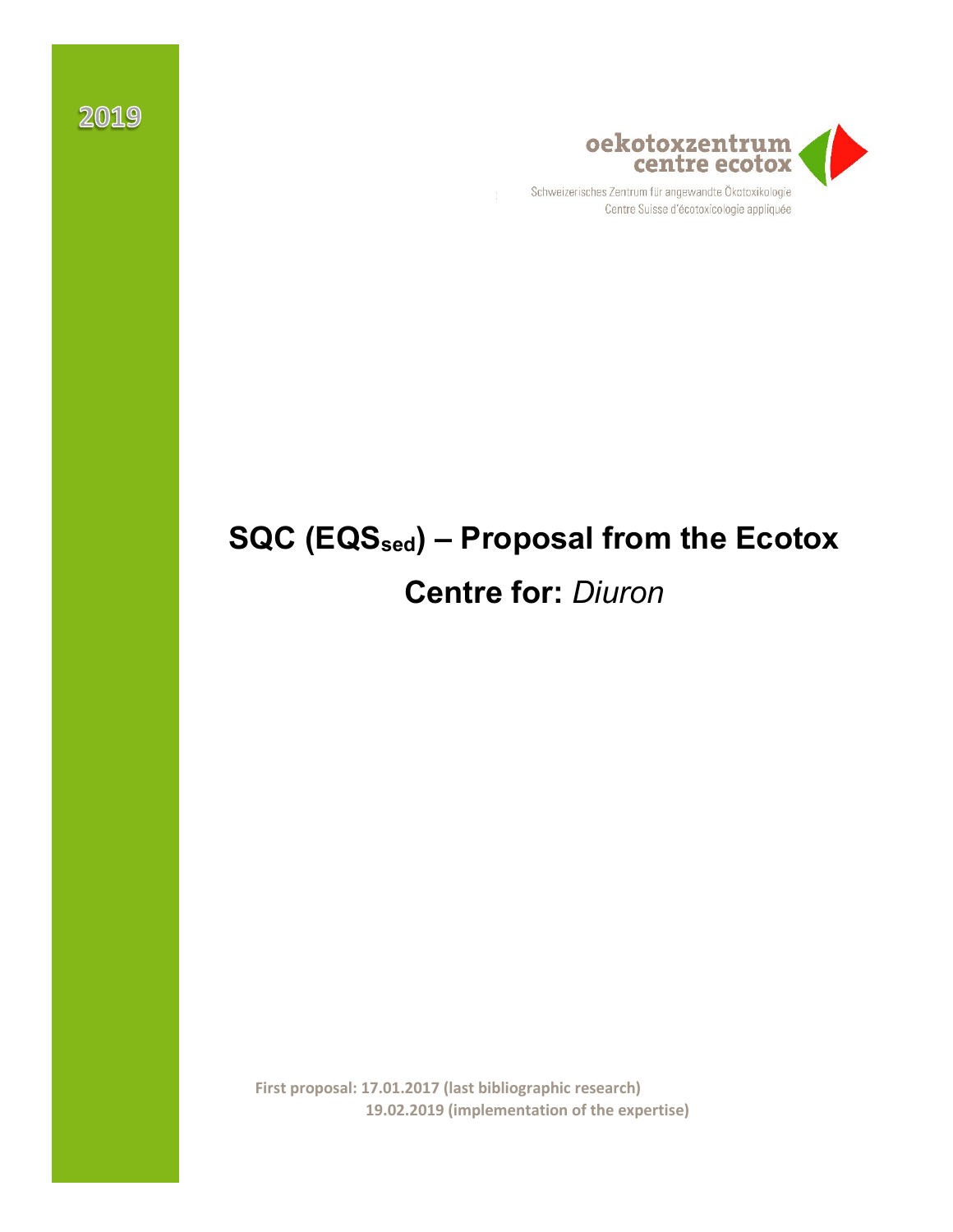

Schweizerisches Zentrum für angewandte Ökotoxikologie Centre Suisse d'écotoxicologie appliquée

# **SQC (EQSsed) – Proposal from the Ecotox Centre for:** *Diuron*

**First proposal: 17.01.2017 (last bibliographic research) 19.02.2019 (implementation of the expertise)**

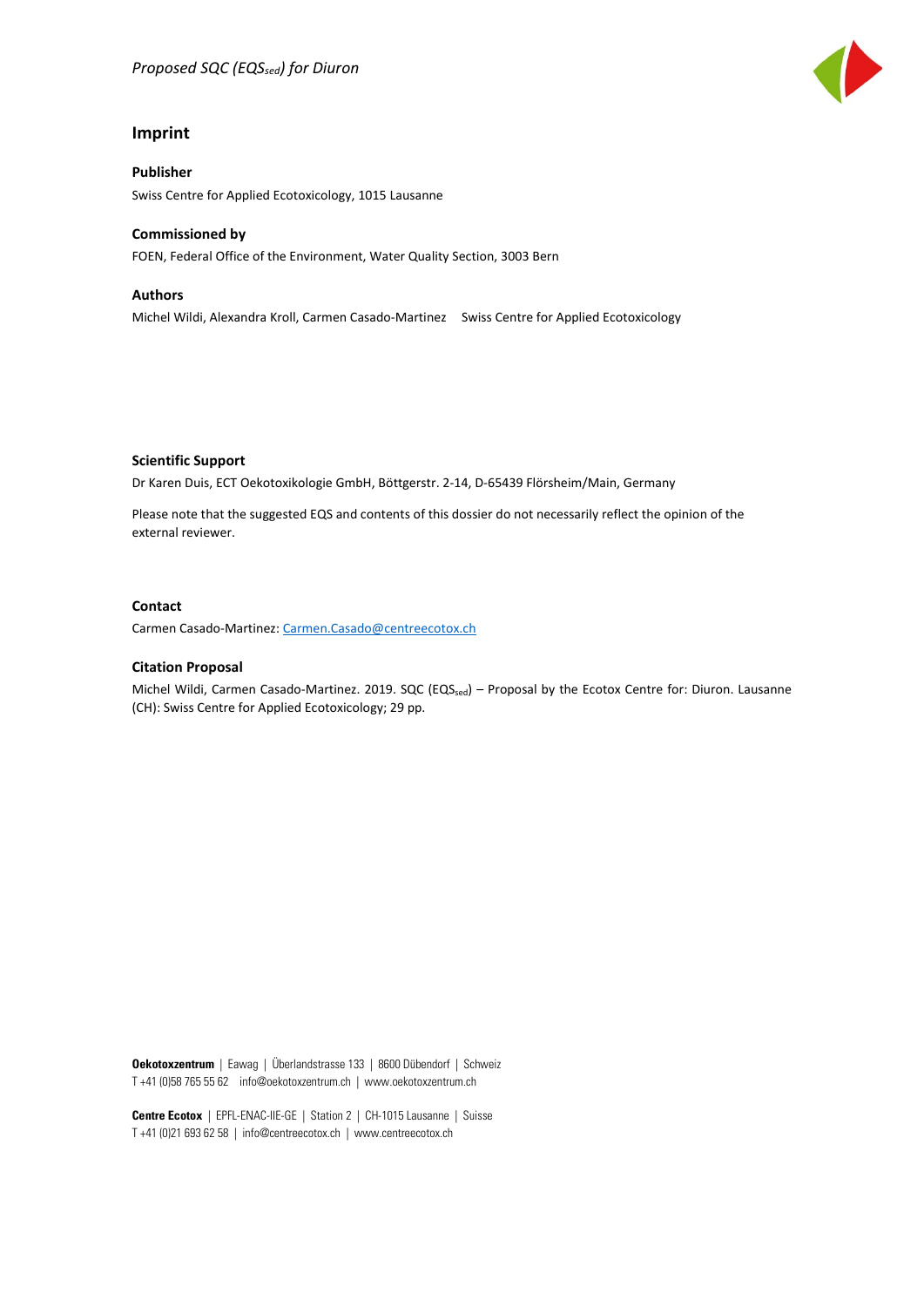#### **Imprint**

#### **Publisher**

Swiss Centre for Applied Ecotoxicology, 1015 Lausanne

#### **Commissioned by**

FOEN, Federal Office of the Environment, Water Quality Section, 3003 Bern

#### **Authors**

Michel Wildi, Alexandra Kroll, Carmen Casado-Martinez Swiss Centre for Applied Ecotoxicology

**Scientific Support**

Dr Karen Duis, ECT Oekotoxikologie GmbH, Böttgerstr. 2-14, D-65439 Flörsheim/Main, Germany

Please note that the suggested EQS and contents of this dossier do not necessarily reflect the opinion of the external reviewer.

#### **Contact**

Carmen Casado-Martinez[: Carmen.Casado@centreecotox.ch](mailto:Carmen.Casado@centreecotox.ch)

#### **Citation Proposal**

Michel Wildi, Carmen Casado-Martinez. 2019. SQC (EQSsed) – Proposal by the Ecotox Centre for: Diuron. Lausanne (CH): Swiss Centre for Applied Ecotoxicology; 29 pp.

**Oekotoxzentrum** | Eawag | Überlandstrasse 133 | 8600 Dübendorf | Schweiz T +41 (0)58 765 55 62 info@oekotoxzentrum.ch | www.oekotoxzentrum.ch

**Centre Ecotox** | EPFL-ENAC-IIE-GE | Station 2 | CH-1015 Lausanne | Suisse T +41 (0)21 693 62 58 | info@centreecotox.ch | www.centreecotox.ch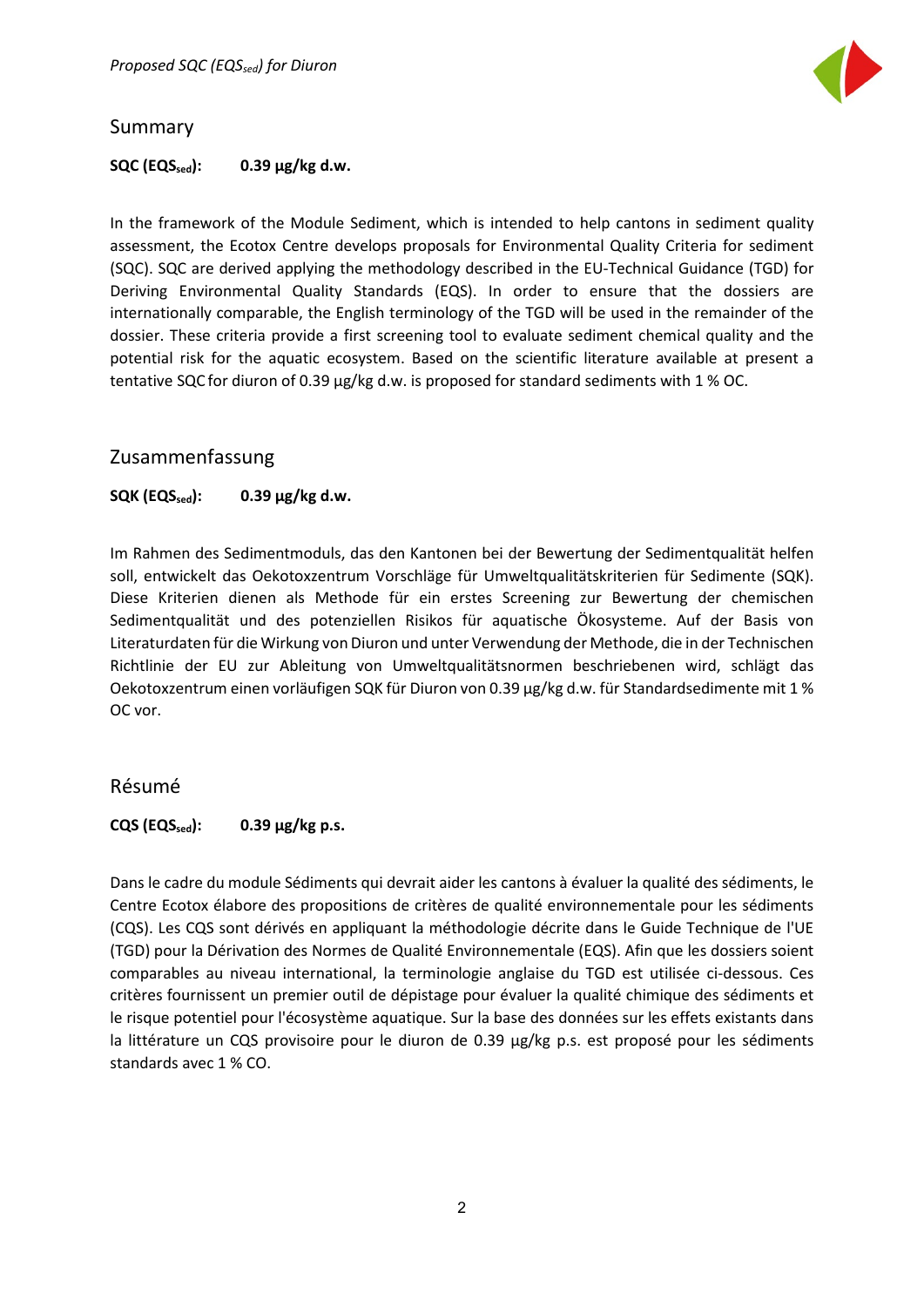

#### <span id="page-2-0"></span>Summary

#### **SQC (EQSsed): 0.39 µg/kg d.w.**

In the framework of the Module Sediment, which is intended to help cantons in sediment quality assessment, the Ecotox Centre develops proposals for Environmental Quality Criteria for sediment (SQC). SQC are derived applying the methodology described in the EU-Technical Guidance (TGD) for Deriving Environmental Quality Standards (EQS). In order to ensure that the dossiers are internationally comparable, the English terminology of the TGD will be used in the remainder of the dossier. These criteria provide a first screening tool to evaluate sediment chemical quality and the potential risk for the aquatic ecosystem. Based on the scientific literature available at present a tentative SQC for diuron of 0.39 µg/kg d.w. is proposed for standard sediments with 1 % OC.

#### <span id="page-2-1"></span>Zusammenfassung

#### $SQK$   $(EQS<sub>sed</sub>)$ : 0.39  $\mu$ g/kg d.w.

Im Rahmen des Sedimentmoduls, das den Kantonen bei der Bewertung der Sedimentqualität helfen soll, entwickelt das Oekotoxzentrum Vorschläge für Umweltqualitätskriterien für Sedimente (SQK). Diese Kriterien dienen als Methode für ein erstes Screening zur Bewertung der chemischen Sedimentqualität und des potenziellen Risikos für aquatische Ökosysteme. Auf der Basis von Literaturdaten für die Wirkung von Diuron und unter Verwendung der Methode, die in der Technischen Richtlinie der EU zur Ableitung von Umweltqualitätsnormen beschriebenen wird, schlägt das Oekotoxzentrum einen vorläufigen SQK für Diuron von 0.39 µg/kg d.w. für Standardsedimente mit 1 % OC vor.

#### <span id="page-2-2"></span>Résumé

#### $CQS$  ( $EQS<sub>sed</sub>$ ): 0.39  $\mu$ g/kg p.s.

Dans le cadre du module Sédiments qui devrait aider les cantons à évaluer la qualité des sédiments, le Centre Ecotox élabore des propositions de critères de qualité environnementale pour les sédiments (CQS). Les CQS sont dérivés en appliquant la méthodologie décrite dans le Guide Technique de l'UE (TGD) pour la Dérivation des Normes de Qualité Environnementale (EQS). Afin que les dossiers soient comparables au niveau international, la terminologie anglaise du TGD est utilisée ci-dessous. Ces critères fournissent un premier outil de dépistage pour évaluer la qualité chimique des sédiments et le risque potentiel pour l'écosystème aquatique. Sur la base des données sur les effets existants dans la littérature un CQS provisoire pour le diuron de 0.39 µg/kg p.s. est proposé pour les sédiments standards avec 1 % CO.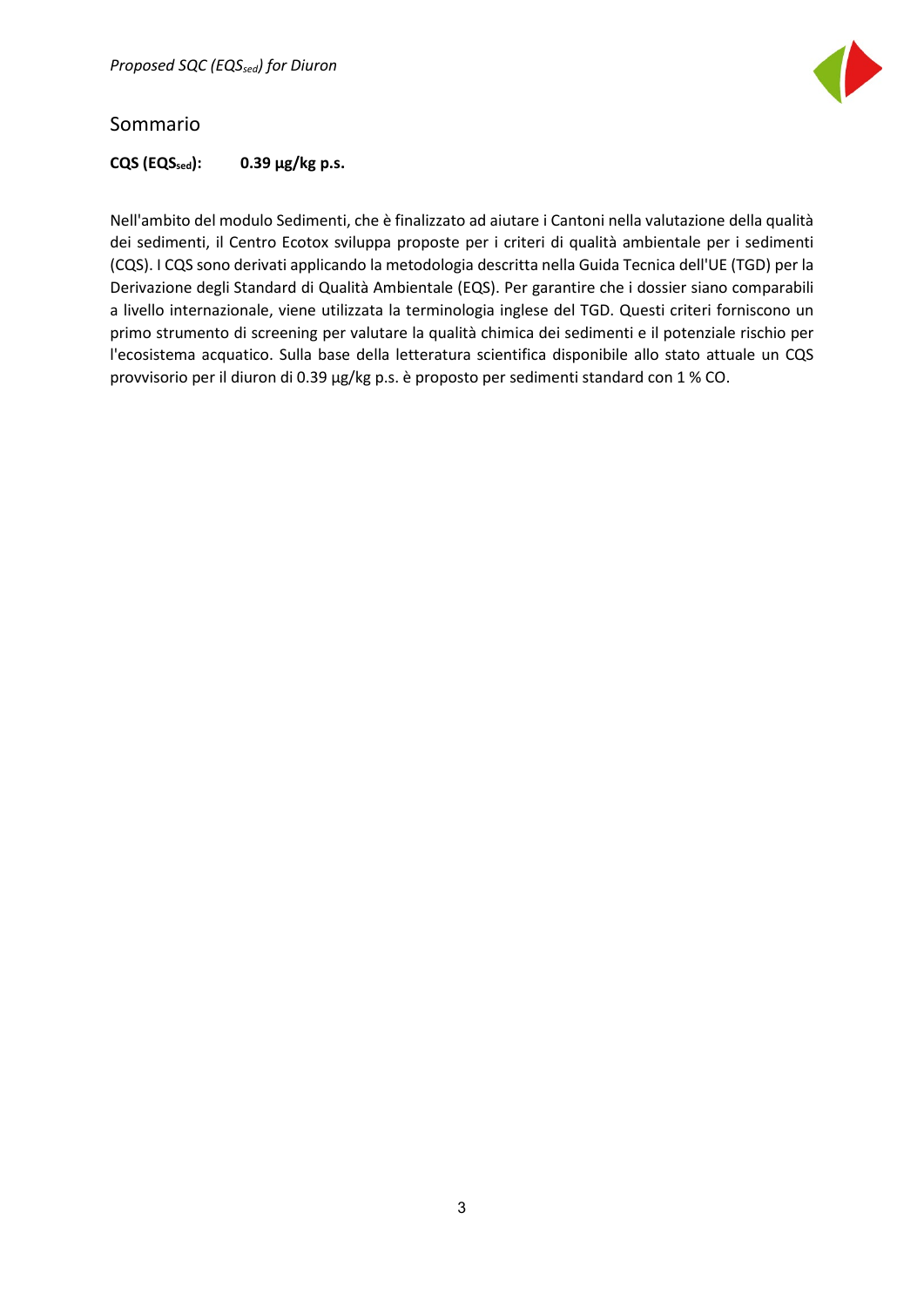

#### <span id="page-3-0"></span>Sommario

 $CQS$   $( $EQS_{\text{sed}}$ ): \n0.39  $\mu$  <sub>$g$</sub>  $/kg$  <sub>$p.s.$</sub>$ 

Nell'ambito del modulo Sedimenti, che è finalizzato ad aiutare i Cantoni nella valutazione della qualità dei sedimenti, il Centro Ecotox sviluppa proposte per i criteri di qualità ambientale per i sedimenti (CQS). I CQS sono derivati applicando la metodologia descritta nella Guida Tecnica dell'UE (TGD) per la Derivazione degli Standard di Qualità Ambientale (EQS). Per garantire che i dossier siano comparabili a livello internazionale, viene utilizzata la terminologia inglese del TGD. Questi criteri forniscono un primo strumento di screening per valutare la qualità chimica dei sedimenti e il potenziale rischio per l'ecosistema acquatico. Sulla base della letteratura scientifica disponibile allo stato attuale un CQS provvisorio per il diuron di 0.39 µg/kg p.s. è proposto per sedimenti standard con 1 % CO.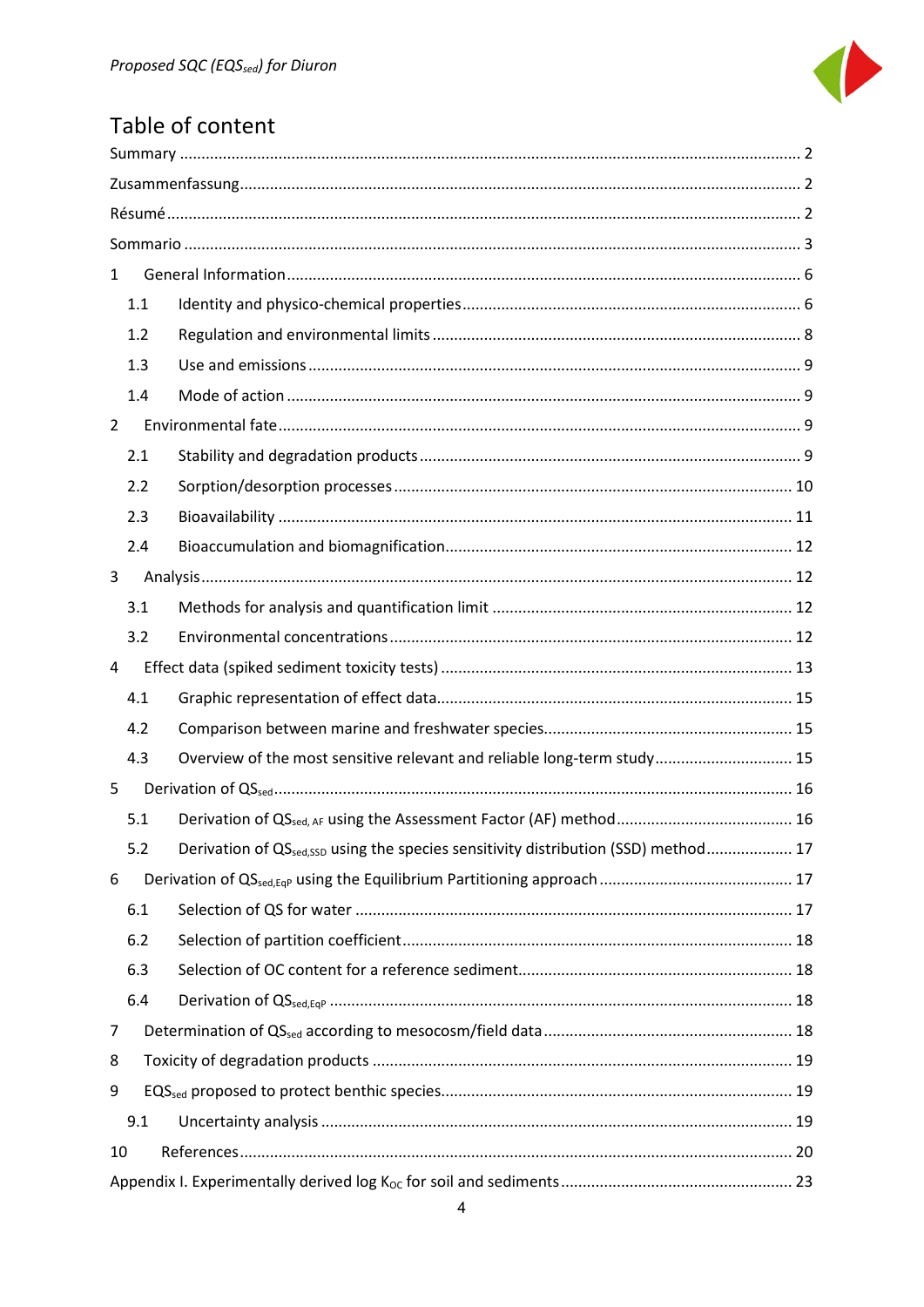

# Table of content

| $\mathbf{1}$                                                                                          |  |  |  |  |  |  |
|-------------------------------------------------------------------------------------------------------|--|--|--|--|--|--|
| 1.1                                                                                                   |  |  |  |  |  |  |
| 1.2                                                                                                   |  |  |  |  |  |  |
| 1.3                                                                                                   |  |  |  |  |  |  |
| 1.4                                                                                                   |  |  |  |  |  |  |
| $\overline{2}$                                                                                        |  |  |  |  |  |  |
| 2.1                                                                                                   |  |  |  |  |  |  |
| 2.2                                                                                                   |  |  |  |  |  |  |
| 2.3                                                                                                   |  |  |  |  |  |  |
| 2.4                                                                                                   |  |  |  |  |  |  |
| 3                                                                                                     |  |  |  |  |  |  |
| 3.1                                                                                                   |  |  |  |  |  |  |
| 3.2                                                                                                   |  |  |  |  |  |  |
| 4                                                                                                     |  |  |  |  |  |  |
| 4.1                                                                                                   |  |  |  |  |  |  |
| 4.2                                                                                                   |  |  |  |  |  |  |
| Overview of the most sensitive relevant and reliable long-term study 15<br>4.3                        |  |  |  |  |  |  |
| 5                                                                                                     |  |  |  |  |  |  |
| 5.1                                                                                                   |  |  |  |  |  |  |
| Derivation of QS <sub>sed,SSD</sub> using the species sensitivity distribution (SSD) method 17<br>5.2 |  |  |  |  |  |  |
| 6                                                                                                     |  |  |  |  |  |  |
| 6.1                                                                                                   |  |  |  |  |  |  |
| 6.2                                                                                                   |  |  |  |  |  |  |
| 6.3                                                                                                   |  |  |  |  |  |  |
| 6.4                                                                                                   |  |  |  |  |  |  |
| 7                                                                                                     |  |  |  |  |  |  |
| 8                                                                                                     |  |  |  |  |  |  |
| 9                                                                                                     |  |  |  |  |  |  |
| 9.1                                                                                                   |  |  |  |  |  |  |
| 10                                                                                                    |  |  |  |  |  |  |
|                                                                                                       |  |  |  |  |  |  |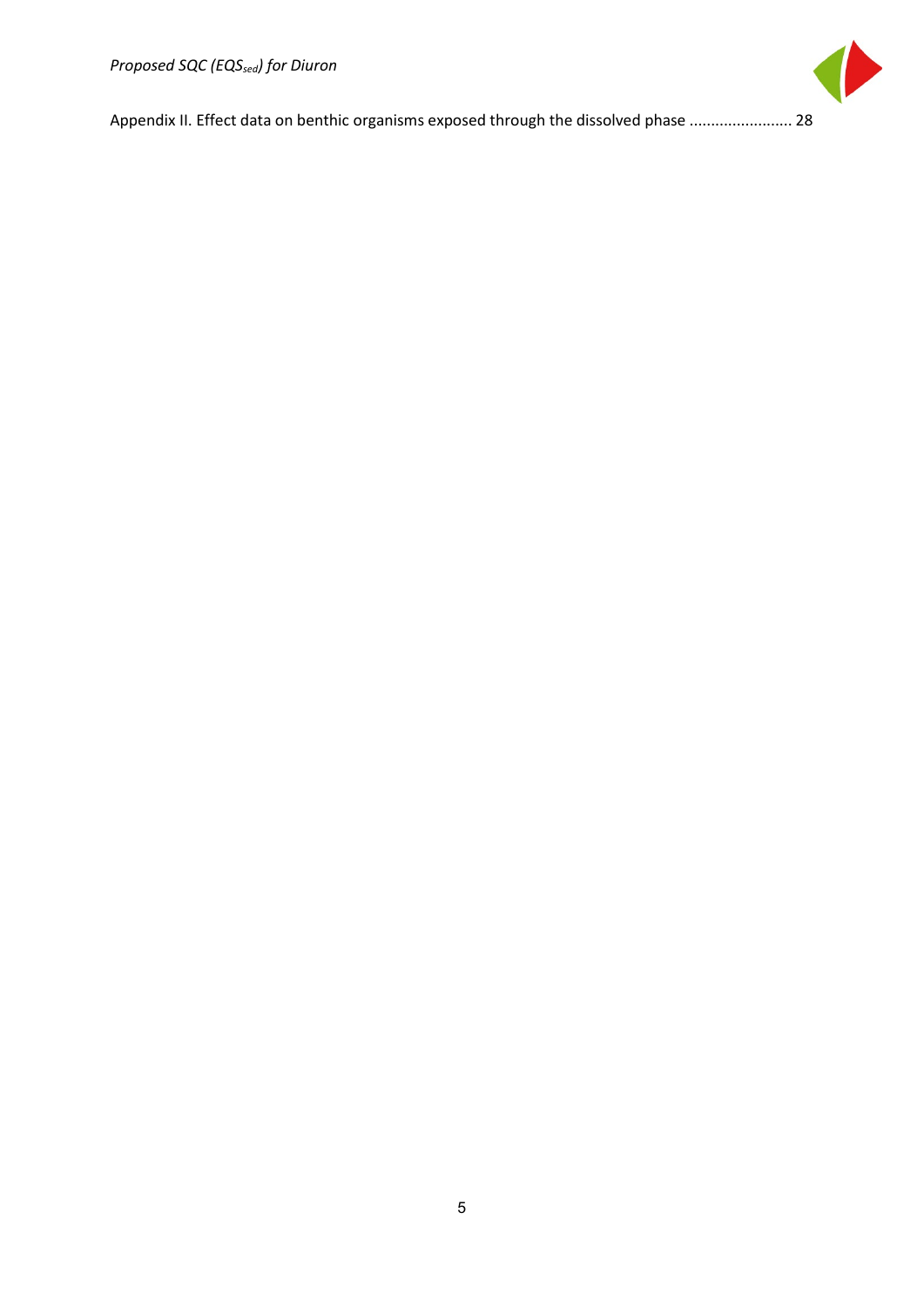

<span id="page-5-0"></span>[Appendix II. Effect data on benthic organisms exposed through the dissolved phase](#page-28-0) ........................ 28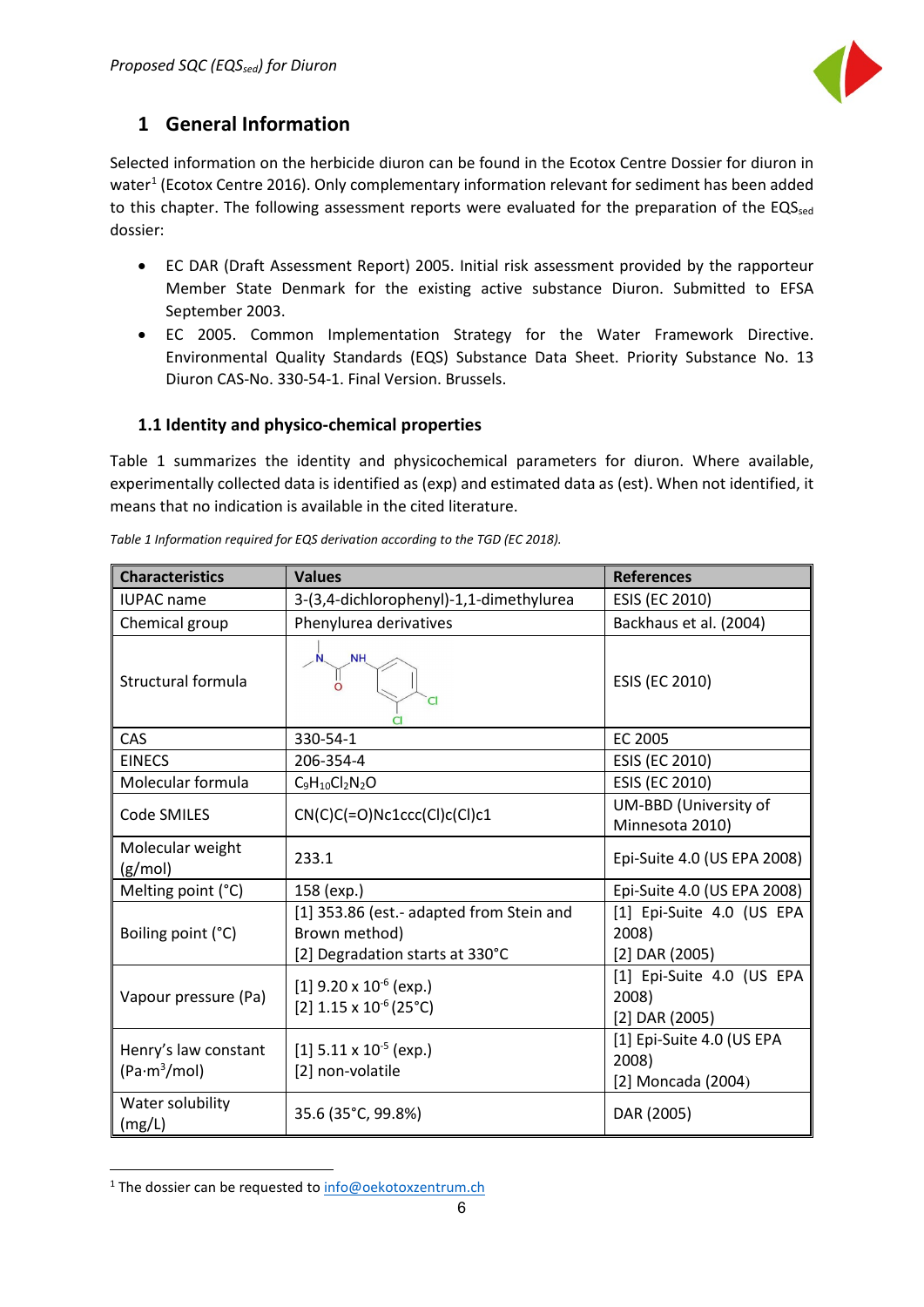

# **1 General Information**

Selected information on the herbicide diuron can be found in the Ecotox Centre Dossier for diuron in water<sup>[1](#page-6-1)</sup> (Ecotox Centre 2016). Only complementary information relevant for sediment has been added to this chapter. The following assessment reports were evaluated for the preparation of the EQSsed dossier:

- EC DAR (Draft Assessment Report) 2005. Initial risk assessment provided by the rapporteur Member State Denmark for the existing active substance Diuron. Submitted to EFSA September 2003.
- EC 2005. Common Implementation Strategy for the Water Framework Directive. Environmental Quality Standards (EQS) Substance Data Sheet. Priority Substance No. 13 Diuron CAS-No. 330-54-1. Final Version. Brussels.

#### <span id="page-6-0"></span>**1.1 Identity and physico-chemical properties**

Table 1 summarizes the identity and physicochemical parameters for diuron. Where available, experimentally collected data is identified as (exp) and estimated data as (est). When not identified, it means that no indication is available in the cited literature.

| <b>Characteristics</b>                           | <b>Values</b>                                                                                | <b>References</b>                                        |  |  |
|--------------------------------------------------|----------------------------------------------------------------------------------------------|----------------------------------------------------------|--|--|
| <b>IUPAC</b> name                                | 3-(3,4-dichlorophenyl)-1,1-dimethylurea                                                      | ESIS (EC 2010)                                           |  |  |
| Chemical group                                   | Phenylurea derivatives                                                                       | Backhaus et al. (2004)                                   |  |  |
| Structural formula                               | <b>NH</b><br>Cl                                                                              | ESIS (EC 2010)                                           |  |  |
| CAS                                              | 330-54-1                                                                                     | EC 2005                                                  |  |  |
| <b>EINECS</b>                                    | 206-354-4                                                                                    | ESIS (EC 2010)                                           |  |  |
| Molecular formula                                | $C_9H_{10}Cl_2N_2O$                                                                          | ESIS (EC 2010)                                           |  |  |
| Code SMILES                                      | $CN(C)C(=O)NC1ccc(CI)c(CI)c1$                                                                | UM-BBD (University of<br>Minnesota 2010)                 |  |  |
| Molecular weight<br>(g/mol)                      | 233.1                                                                                        | Epi-Suite 4.0 (US EPA 2008)                              |  |  |
| Melting point (°C)                               | 158 (exp.)                                                                                   | Epi-Suite 4.0 (US EPA 2008)                              |  |  |
| Boiling point (°C)                               | [1] 353.86 (est.- adapted from Stein and<br>Brown method)<br>[2] Degradation starts at 330°C | [1] Epi-Suite 4.0 (US EPA<br>2008)<br>$[2]$ DAR $(2005)$ |  |  |
| Vapour pressure (Pa)                             | [1] $9.20 \times 10^{-6}$ (exp.)<br>[2] $1.15 \times 10^{-6}$ (25°C)                         | [1] Epi-Suite 4.0 (US EPA<br>2008)<br>$[2]$ DAR $(2005)$ |  |  |
| Henry's law constant<br>(Pa·m <sup>3</sup> /mol) | [1] $5.11 \times 10^{-5}$ (exp.)<br>[2] non-volatile                                         | [1] Epi-Suite 4.0 (US EPA<br>2008)<br>[2] Moncada (2004) |  |  |
| Water solubility<br>(mg/L)                       | 35.6 (35°C, 99.8%)                                                                           | DAR (2005)                                               |  |  |

*Table 1 Information required for EQS derivation according to the TGD (EC 2018).*

 $\overline{a}$ 

<span id="page-6-1"></span> $1$  The dossier can be requested to  $info@oekotoxzentrum.ch$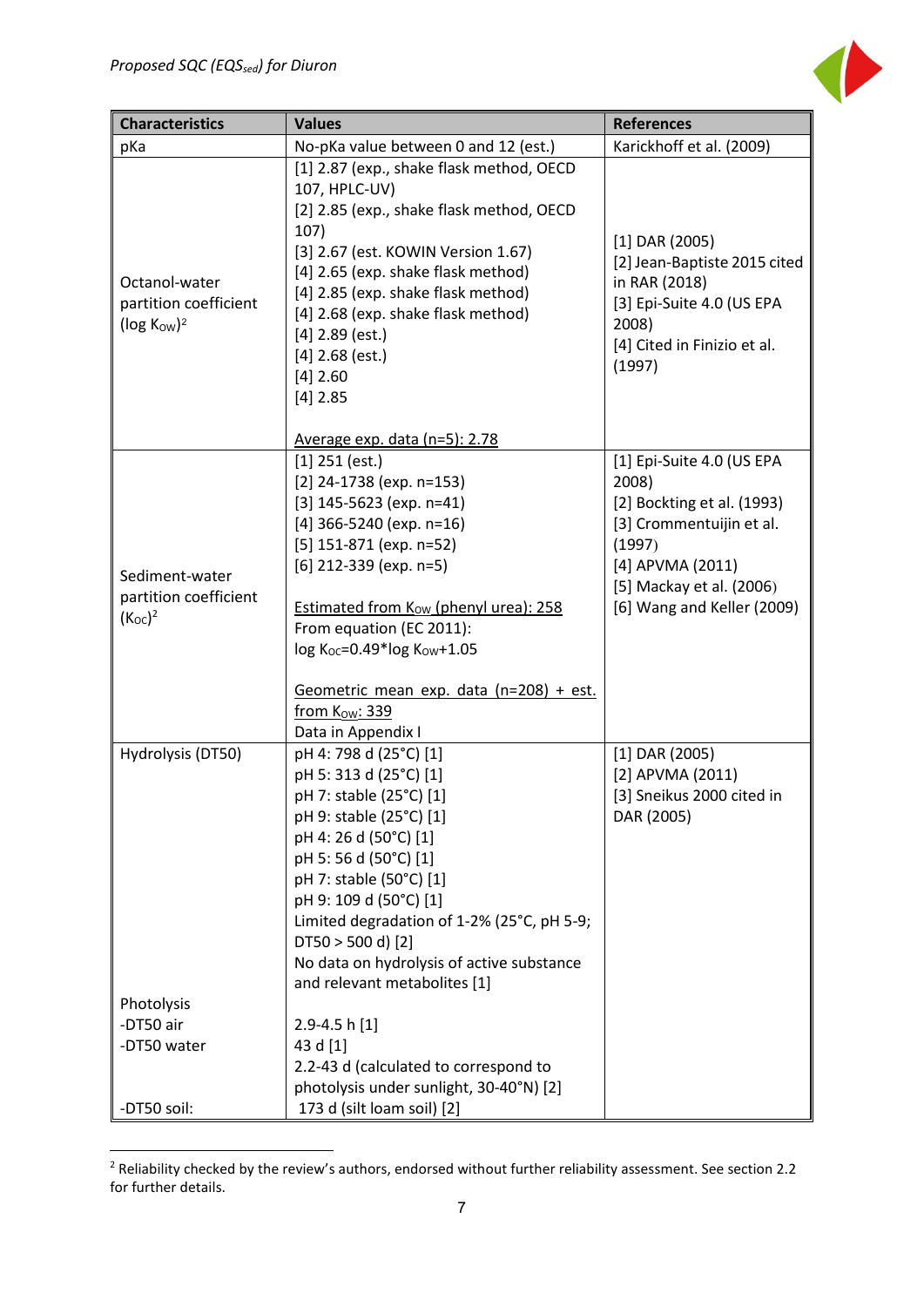

| <b>Characteristics</b>                              | <b>Values</b>                                                                                                                                                                                                                                                                                                                                                                                            | <b>References</b>                                                                                                         |  |  |
|-----------------------------------------------------|----------------------------------------------------------------------------------------------------------------------------------------------------------------------------------------------------------------------------------------------------------------------------------------------------------------------------------------------------------------------------------------------------------|---------------------------------------------------------------------------------------------------------------------------|--|--|
| pKa                                                 | No-pKa value between 0 and 12 (est.)                                                                                                                                                                                                                                                                                                                                                                     | Karickhoff et al. (2009)                                                                                                  |  |  |
| Octanol-water                                       | [1] 2.87 (exp., shake flask method, OECD<br>107, HPLC-UV)<br>[2] 2.85 (exp., shake flask method, OECD<br>107)<br>[3] 2.67 (est. KOWIN Version 1.67)<br>[4] 2.65 (exp. shake flask method)                                                                                                                                                                                                                | $[1]$ DAR (2005)<br>[2] Jean-Baptiste 2015 cited<br>in RAR (2018)                                                         |  |  |
| partition coefficient<br>( $log KOW$ ) <sup>2</sup> | [4] 2.85 (exp. shake flask method)<br>[4] 2.68 (exp. shake flask method)<br>$[4]$ 2.89 (est.)<br>$[4]$ 2.68 (est.)<br>$[4]$ 2.60<br>$[4]$ 2.85                                                                                                                                                                                                                                                           | [3] Epi-Suite 4.0 (US EPA<br>2008)<br>[4] Cited in Finizio et al.<br>(1997)                                               |  |  |
|                                                     | Average exp. data (n=5): 2.78<br>$[1]$ 251 (est.)                                                                                                                                                                                                                                                                                                                                                        | [1] Epi-Suite 4.0 (US EPA                                                                                                 |  |  |
| Sediment-water                                      | $[2]$ 24-1738 (exp. n=153)<br>[3] $145-5623$ (exp. n=41)<br>[4] 366-5240 (exp. $n=16$ )<br>$[5]$ 151-871 (exp. n=52)<br>$[6]$ 212-339 (exp. n=5)                                                                                                                                                                                                                                                         | 2008)<br>[2] Bockting et al. (1993)<br>[3] Crommentuijin et al.<br>(1997)<br>[4] APVMA (2011)<br>[5] Mackay et al. (2006) |  |  |
| partition coefficient<br>$(K_{OC})^2$               | <b>Estimated from Kow (phenyl urea): 258</b><br>From equation (EC 2011):<br>log Koc=0.49*log Kow+1.05<br>Geometric mean exp. data (n=208) + est.                                                                                                                                                                                                                                                         | [6] Wang and Keller (2009)                                                                                                |  |  |
|                                                     | from Kow: 339                                                                                                                                                                                                                                                                                                                                                                                            |                                                                                                                           |  |  |
| Hydrolysis (DT50)<br>Photolysis<br>-DT50 air        | Data in Appendix I<br>pH 4: 798 d (25°C) [1]<br>pH 5: 313 d (25°C) [1]<br>pH 7: stable (25°C) [1]<br>pH 9: stable (25°C) [1]<br>pH 4: 26 d (50°C) [1]<br>pH 5:56 d (50°C) [1]<br>pH 7: stable (50°C) [1]<br>pH 9: 109 d (50°C) [1]<br>Limited degradation of 1-2% (25°C, pH 5-9;<br>$DT50 > 500 d$ (2)<br>No data on hydrolysis of active substance<br>and relevant metabolites [1]<br>$2.9 - 4.5$ h [1] | $[1]$ DAR (2005)<br>[2] APVMA (2011)<br>[3] Sneikus 2000 cited in<br>DAR (2005)                                           |  |  |
| -DT50 water<br>-DT50 soil:                          | 43 d [1]<br>2.2-43 d (calculated to correspond to<br>photolysis under sunlight, 30-40°N) [2]<br>173 d (silt loam soil) [2]                                                                                                                                                                                                                                                                               |                                                                                                                           |  |  |

<span id="page-7-0"></span> $2$  Reliability checked by the review's authors, endorsed without further reliability assessment. See section 2.2 for further details.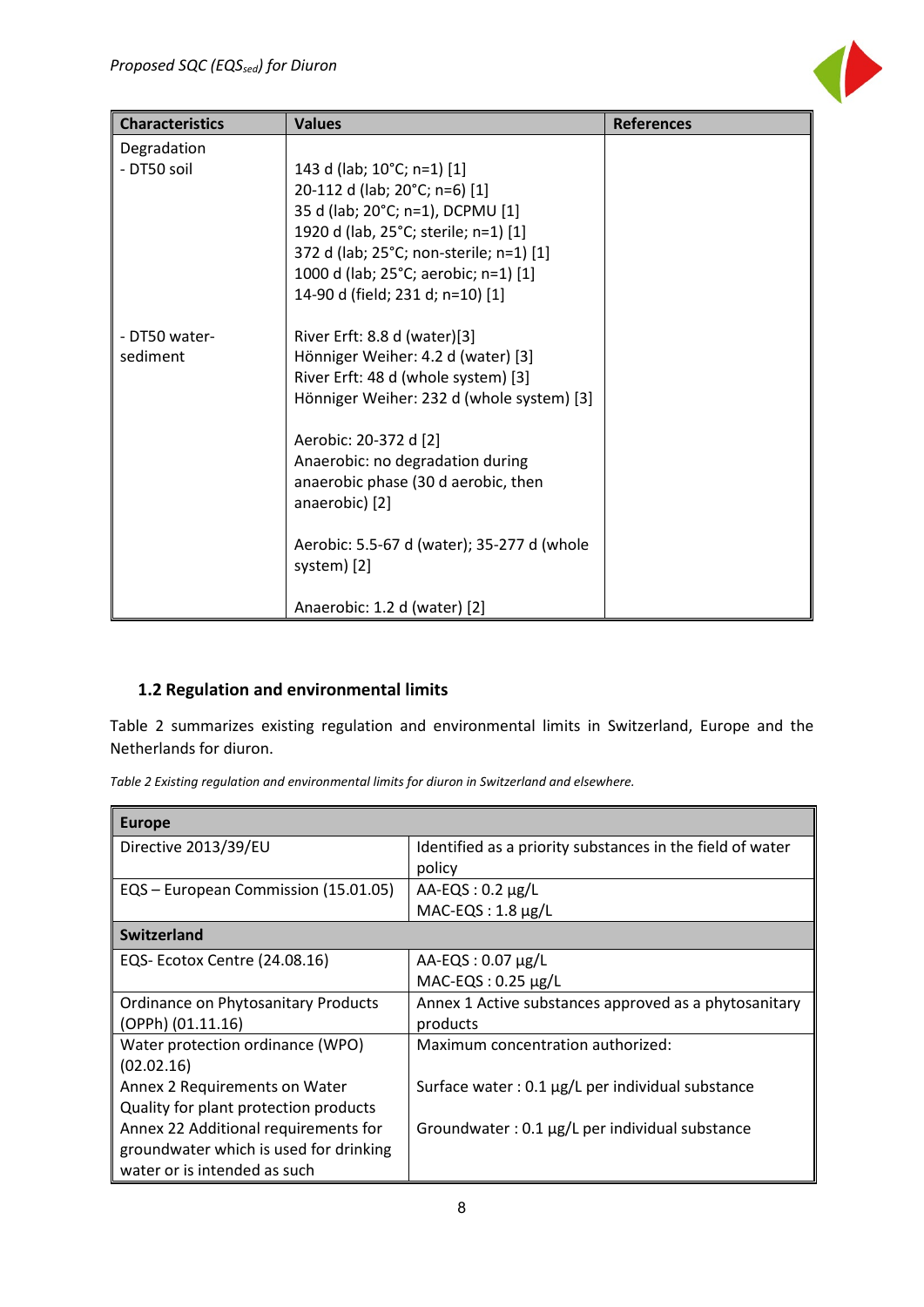| <b>Characteristics</b> | <b>Values</b>                              | <b>References</b> |
|------------------------|--------------------------------------------|-------------------|
| Degradation            |                                            |                   |
| - DT50 soil            | 143 d (lab; 10°C; n=1) [1]                 |                   |
|                        | 20-112 d (lab; 20°C; n=6) [1]              |                   |
|                        | 35 d (lab; 20°C; n=1), DCPMU [1]           |                   |
|                        | 1920 d (lab, 25°C; sterile; n=1) [1]       |                   |
|                        | 372 d (lab; 25°C; non-sterile; n=1) [1]    |                   |
|                        | 1000 d (lab; 25°C; aerobic; n=1) [1]       |                   |
|                        | 14-90 d (field; 231 d; n=10) [1]           |                   |
| - DT50 water-          | River Erft: 8.8 d (water)[3]               |                   |
| sediment               | Hönniger Weiher: 4.2 d (water) [3]         |                   |
|                        | River Erft: 48 d (whole system) [3]        |                   |
|                        | Hönniger Weiher: 232 d (whole system) [3]  |                   |
|                        | Aerobic: 20-372 d [2]                      |                   |
|                        | Anaerobic: no degradation during           |                   |
|                        | anaerobic phase (30 d aerobic, then        |                   |
|                        | anaerobic) [2]                             |                   |
|                        | Aerobic: 5.5-67 d (water); 35-277 d (whole |                   |
|                        | system) [2]                                |                   |
|                        | Anaerobic: 1.2 d (water) [2]               |                   |

## <span id="page-8-0"></span>**1.2 Regulation and environmental limits**

Table 2 summarizes existing regulation and environmental limits in Switzerland, Europe and the Netherlands for diuron.

*Table 2 Existing regulation and environmental limits for diuron in Switzerland and elsewhere.*

| <b>Europe</b>                          |                                                           |
|----------------------------------------|-----------------------------------------------------------|
| Directive 2013/39/EU                   | Identified as a priority substances in the field of water |
|                                        | policy                                                    |
| EQS - European Commission (15.01.05)   | $AA$ -EQS: 0.2 $\mu$ g/L                                  |
|                                        | $MAC$ -EQS: 1.8 $\mu$ g/L                                 |
| <b>Switzerland</b>                     |                                                           |
| EQS- Ecotox Centre (24.08.16)          | $AA$ -EQS: 0.07 $\mu$ g/L                                 |
|                                        | $MAC$ -EQS: 0.25 $\mu$ g/L                                |
| Ordinance on Phytosanitary Products    | Annex 1 Active substances approved as a phytosanitary     |
| (OPPh) (01.11.16)                      | products                                                  |
| Water protection ordinance (WPO)       | Maximum concentration authorized:                         |
| (02.02.16)                             |                                                           |
| Annex 2 Requirements on Water          | Surface water : $0.1 \mu g/L$ per individual substance    |
| Quality for plant protection products  |                                                           |
| Annex 22 Additional requirements for   | Groundwater: 0.1 µg/L per individual substance            |
| groundwater which is used for drinking |                                                           |
| water or is intended as such           |                                                           |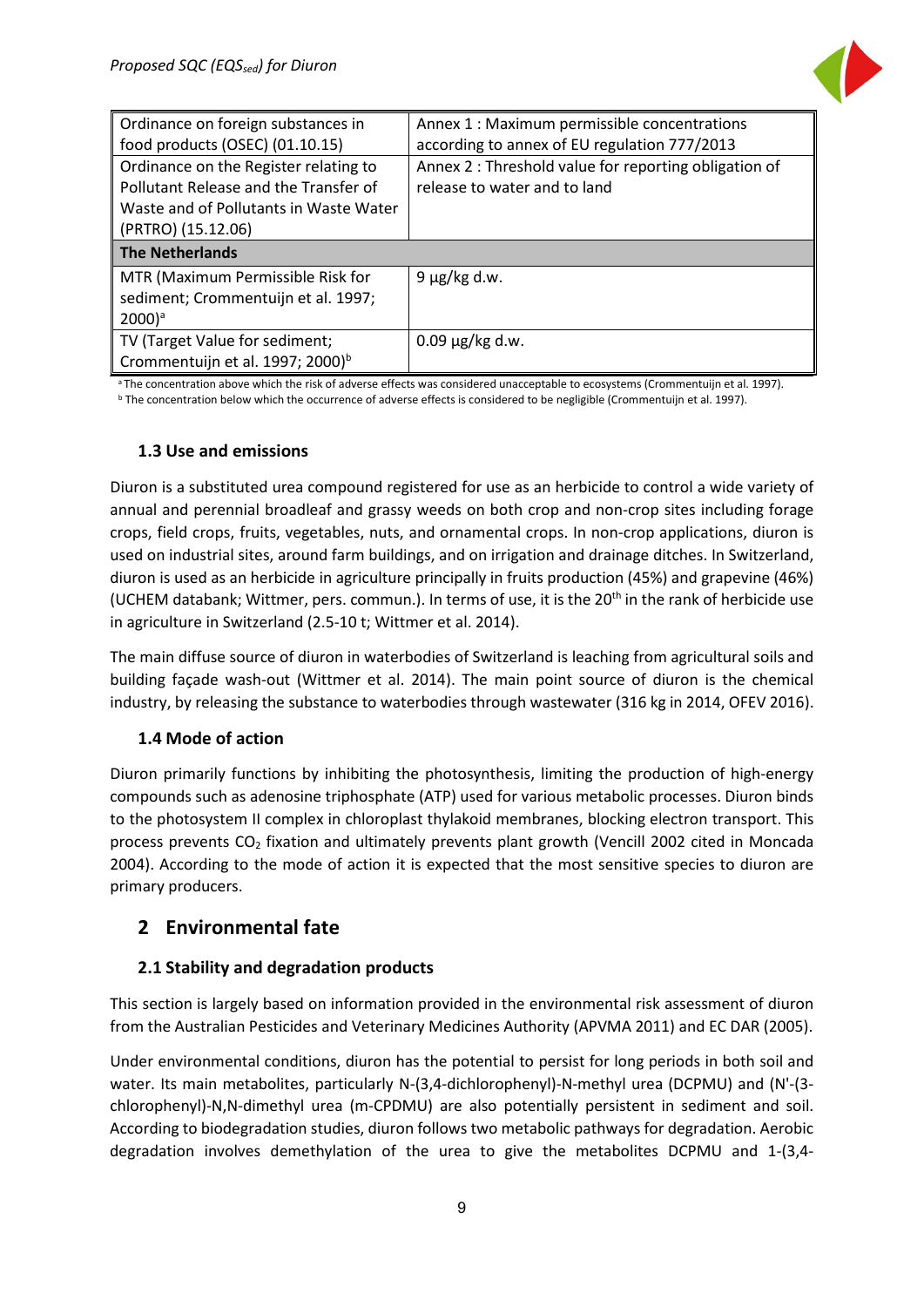

| Ordinance on foreign substances in           | Annex 1 : Maximum permissible concentrations          |
|----------------------------------------------|-------------------------------------------------------|
| food products (OSEC) (01.10.15)              | according to annex of EU regulation 777/2013          |
| Ordinance on the Register relating to        | Annex 2 : Threshold value for reporting obligation of |
| Pollutant Release and the Transfer of        | release to water and to land                          |
| Waste and of Pollutants in Waste Water       |                                                       |
| (PRTRO) (15.12.06)                           |                                                       |
| <b>The Netherlands</b>                       |                                                       |
| MTR (Maximum Permissible Risk for            | $9 \mu g/kg$ d.w.                                     |
| sediment; Crommentuijn et al. 1997;          |                                                       |
| $2000$ <sup>a</sup>                          |                                                       |
| TV (Target Value for sediment;               | $0.09 \,\mu g/kg$ d.w.                                |
| Crommentuijn et al. 1997; 2000) <sup>b</sup> |                                                       |

<sup>a</sup> The concentration above which the risk of adverse effects was considered unacceptable to ecosystems (Crommentuijn et al. 1997). <sup>b</sup> The concentration below which the occurrence of adverse effects is considered to be negligible (Crommentuijn et al. 1997).

#### <span id="page-9-0"></span>**1.3 Use and emissions**

Diuron is a substituted urea compound registered for use as an herbicide to control a wide variety of annual and perennial broadleaf and grassy weeds on both crop and non-crop sites including forage crops, field crops, fruits, vegetables, nuts, and ornamental crops. In non-crop applications, diuron is used on industrial sites, around farm buildings, and on irrigation and drainage ditches. In Switzerland, diuron is used as an herbicide in agriculture principally in fruits production (45%) and grapevine (46%) (UCHEM databank; Wittmer, pers. commun.). In terms of use, it is the 20<sup>th</sup> in the rank of herbicide use in agriculture in Switzerland (2.5-10 t; Wittmer et al. 2014).

The main diffuse source of diuron in waterbodies of Switzerland is leaching from agricultural soils and building façade wash-out (Wittmer et al. 2014). The main point source of diuron is the chemical industry, by releasing the substance to waterbodies through wastewater (316 kg in 2014, OFEV 2016).

#### <span id="page-9-1"></span>**1.4 Mode of action**

Diuron primarily functions by inhibiting the photosynthesis, limiting the production of high-energy compounds such as adenosine triphosphate (ATP) used for various metabolic processes. Diuron binds to the photosystem II complex in chloroplast thylakoid membranes, blocking electron transport. This process prevents CO<sub>2</sub> fixation and ultimately prevents plant growth (Vencill 2002 cited in Moncada 2004). According to the mode of action it is expected that the most sensitive species to diuron are primary producers.

#### <span id="page-9-2"></span>**2 Environmental fate**

#### <span id="page-9-3"></span>**2.1 Stability and degradation products**

This section is largely based on information provided in the environmental risk assessment of diuron from the Australian Pesticides and Veterinary Medicines Authority (APVMA 2011) and EC DAR (2005).

Under environmental conditions, diuron has the potential to persist for long periods in both soil and water. Its main metabolites, particularly N-(3,4-dichlorophenyl)-N-methyl urea (DCPMU) and (N'-(3 chlorophenyl)-N,N-dimethyl urea (m-CPDMU) are also potentially persistent in sediment and soil. According to biodegradation studies, diuron follows two metabolic pathways for degradation. Aerobic degradation involves demethylation of the urea to give the metabolites DCPMU and 1-(3,4-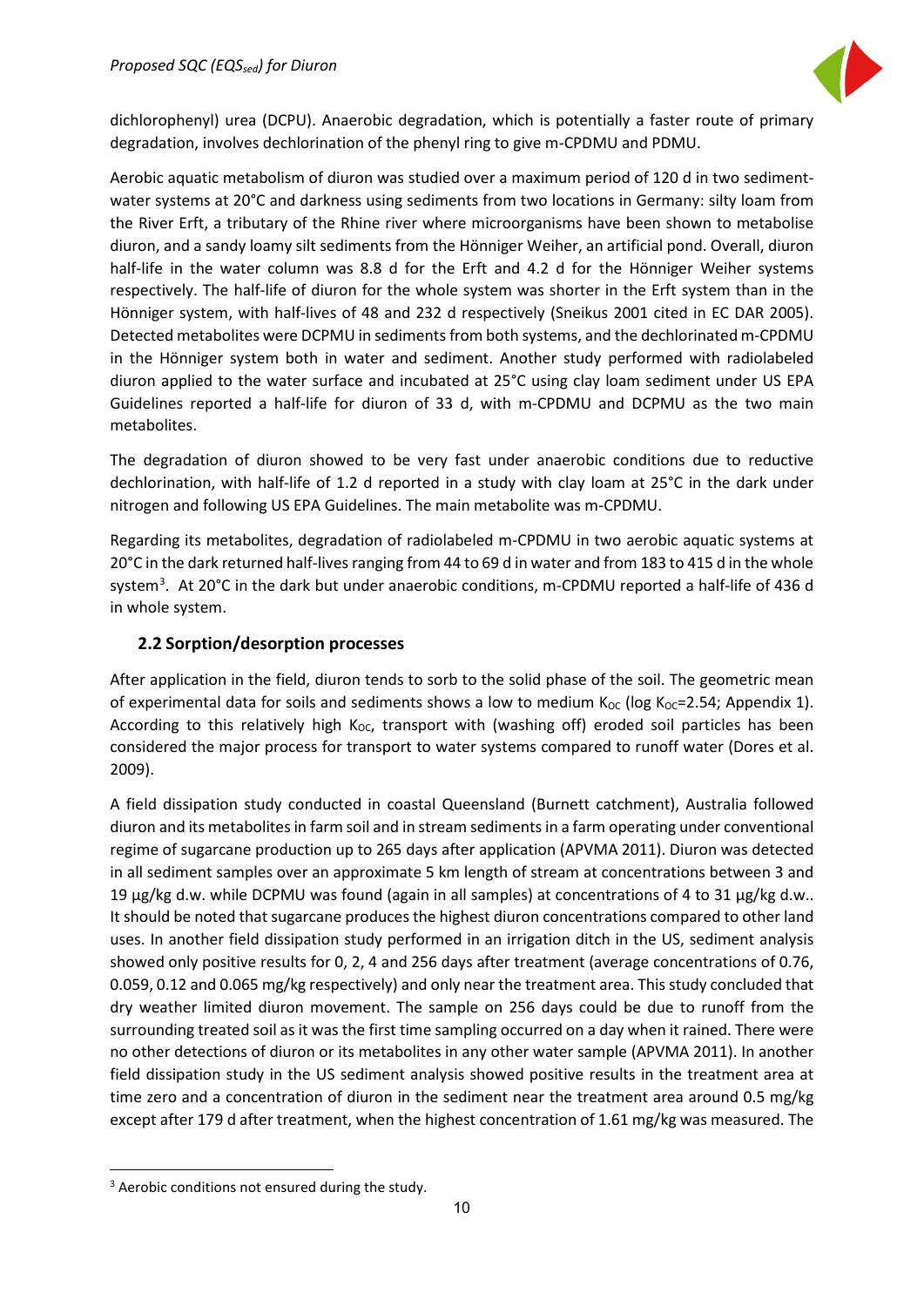

dichlorophenyl) urea (DCPU). Anaerobic degradation, which is potentially a faster route of primary degradation, involves dechlorination of the phenyl ring to give m-CPDMU and PDMU.

Aerobic aquatic metabolism of diuron was studied over a maximum period of 120 d in two sedimentwater systems at 20°C and darkness using sediments from two locations in Germany: silty loam from the River Erft, a tributary of the Rhine river where microorganisms have been shown to metabolise diuron, and a sandy loamy silt sediments from the Hönniger Weiher, an artificial pond. Overall, diuron half-life in the water column was 8.8 d for the Erft and 4.2 d for the Hönniger Weiher systems respectively. The half-life of diuron for the whole system was shorter in the Erft system than in the Hönniger system, with half-lives of 48 and 232 d respectively (Sneikus 2001 cited in EC DAR 2005). Detected metabolites were DCPMU in sediments from both systems, and the dechlorinated m-CPDMU in the Hönniger system both in water and sediment. Another study performed with radiolabeled diuron applied to the water surface and incubated at 25°C using clay loam sediment under US EPA Guidelines reported a half-life for diuron of 33 d, with m-CPDMU and DCPMU as the two main metabolites.

The degradation of diuron showed to be very fast under anaerobic conditions due to reductive dechlorination, with half-life of 1.2 d reported in a study with clay loam at 25°C in the dark under nitrogen and following US EPA Guidelines. The main metabolite was m-CPDMU.

Regarding its metabolites, degradation of radiolabeled m-CPDMU in two aerobic aquatic systems at 20°C in the dark returned half-lives ranging from 44 to 69 d in water and from 183 to 415 d in the whole system<sup>[3](#page-10-1)</sup>. At 20°C in the dark but under anaerobic conditions, m-CPDMU reported a half-life of 436 d in whole system.

#### <span id="page-10-0"></span>**2.2 Sorption/desorption processes**

After application in the field, diuron tends to sorb to the solid phase of the soil. The geometric mean of experimental data for soils and sediments shows a low to medium  $K_{OC}$  (log  $K_{OC}$ =2.54; Appendix 1). According to this relatively high  $K_{OC}$ , transport with (washing off) eroded soil particles has been considered the major process for transport to water systems compared to runoff water (Dores et al. 2009).

A field dissipation study conducted in coastal Queensland (Burnett catchment), Australia followed diuron and its metabolites in farm soil and in stream sediments in a farm operating under conventional regime of sugarcane production up to 265 days after application (APVMA 2011). Diuron was detected in all sediment samples over an approximate 5 km length of stream at concentrations between 3 and 19 μg/kg d.w. while DCPMU was found (again in all samples) at concentrations of 4 to 31 μg/kg d.w.. It should be noted that sugarcane produces the highest diuron concentrations compared to other land uses. In another field dissipation study performed in an irrigation ditch in the US, sediment analysis showed only positive results for 0, 2, 4 and 256 days after treatment (average concentrations of 0.76, 0.059, 0.12 and 0.065 mg/kg respectively) and only near the treatment area. This study concluded that dry weather limited diuron movement. The sample on 256 days could be due to runoff from the surrounding treated soil as it was the first time sampling occurred on a day when it rained. There were no other detections of diuron or its metabolites in any other water sample (APVMA 2011). In another field dissipation study in the US sediment analysis showed positive results in the treatment area at time zero and a concentration of diuron in the sediment near the treatment area around 0.5 mg/kg except after 179 d after treatment, when the highest concentration of 1.61 mg/kg was measured. The

<span id="page-10-1"></span><sup>&</sup>lt;sup>3</sup> Aerobic conditions not ensured during the study.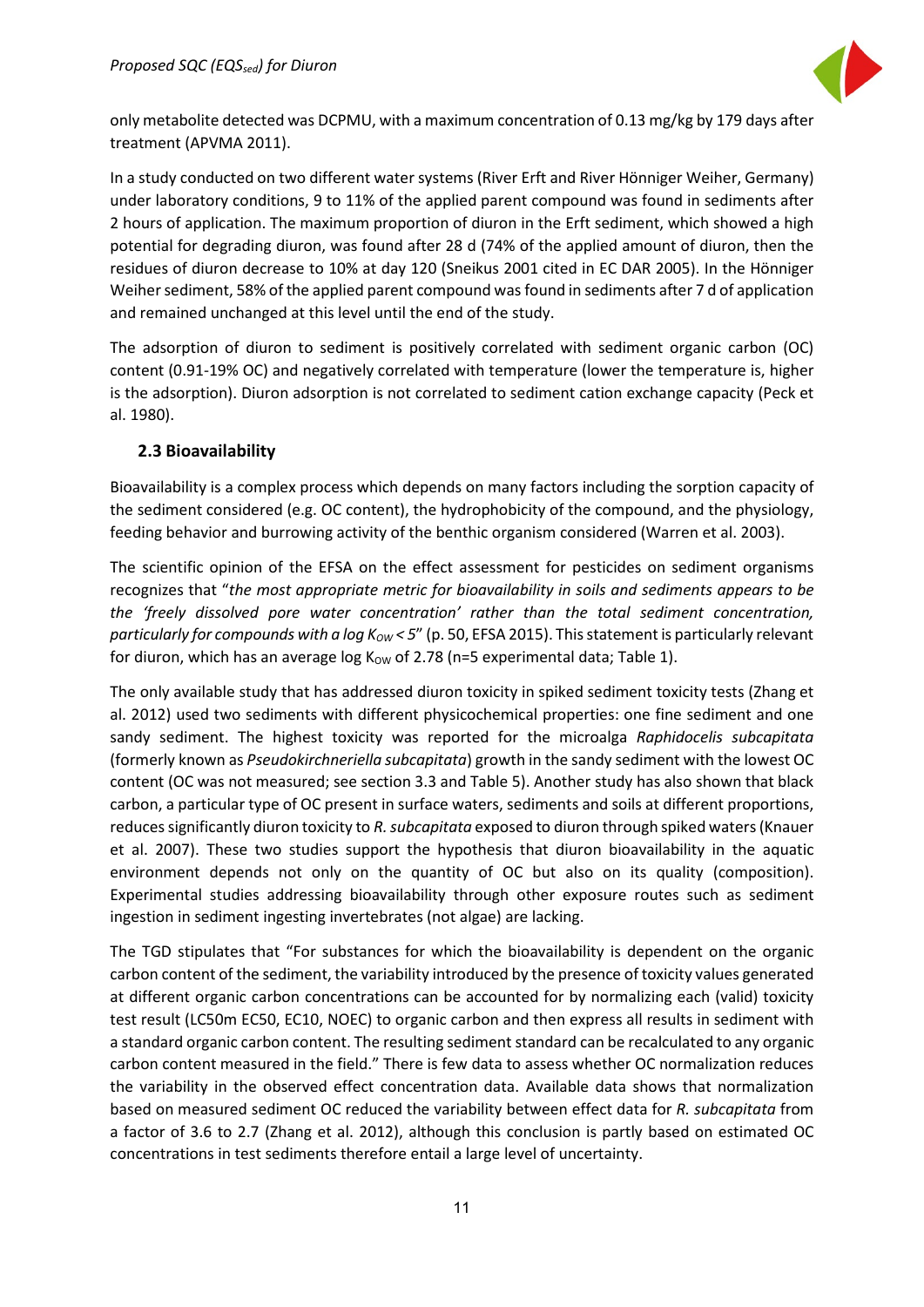

only metabolite detected was DCPMU, with a maximum concentration of 0.13 mg/kg by 179 days after treatment (APVMA 2011).

In a study conducted on two different water systems (River Erft and River Hönniger Weiher, Germany) under laboratory conditions, 9 to 11% of the applied parent compound was found in sediments after 2 hours of application. The maximum proportion of diuron in the Erft sediment, which showed a high potential for degrading diuron, was found after 28 d (74% of the applied amount of diuron, then the residues of diuron decrease to 10% at day 120 (Sneikus 2001 cited in EC DAR 2005). In the Hönniger Weiher sediment, 58% of the applied parent compound was found in sediments after 7 d of application and remained unchanged at this level until the end of the study.

The adsorption of diuron to sediment is positively correlated with sediment organic carbon (OC) content (0.91-19% OC) and negatively correlated with temperature (lower the temperature is, higher is the adsorption). Diuron adsorption is not correlated to sediment cation exchange capacity (Peck et al. 1980).

#### <span id="page-11-0"></span>**2.3 Bioavailability**

Bioavailability is a complex process which depends on many factors including the sorption capacity of the sediment considered (e.g. OC content), the hydrophobicity of the compound, and the physiology, feeding behavior and burrowing activity of the benthic organism considered (Warren et al. 2003).

The scientific opinion of the EFSA on the effect assessment for pesticides on sediment organisms recognizes that "*the most appropriate metric for bioavailability in soils and sediments appears to be the 'freely dissolved pore water concentration' rather than the total sediment concentration, particularly for compounds with a log K<sub>OW</sub> < 5" (p. 50, EFSA 2015). This statement is particularly relevant* for diuron, which has an average log  $K_{OW}$  of 2.78 (n=5 experimental data; Table 1).

The only available study that has addressed diuron toxicity in spiked sediment toxicity tests (Zhang et al. 2012) used two sediments with different physicochemical properties: one fine sediment and one sandy sediment. The highest toxicity was reported for the microalga *Raphidocelis subcapitata* (formerly known as *Pseudokirchneriella subcapitata*) growth in the sandy sediment with the lowest OC content (OC was not measured; see section 3.3 and Table 5). Another study has also shown that black carbon, a particular type of OC present in surface waters, sediments and soils at different proportions, reduces significantly diuron toxicity to *R.subcapitata* exposed to diuron through spiked waters (Knauer et al. 2007). These two studies support the hypothesis that diuron bioavailability in the aquatic environment depends not only on the quantity of OC but also on its quality (composition). Experimental studies addressing bioavailability through other exposure routes such as sediment ingestion in sediment ingesting invertebrates (not algae) are lacking.

The TGD stipulates that "For substances for which the bioavailability is dependent on the organic carbon content of the sediment, the variability introduced by the presence of toxicity values generated at different organic carbon concentrations can be accounted for by normalizing each (valid) toxicity test result (LC50m EC50, EC10, NOEC) to organic carbon and then express all results in sediment with a standard organic carbon content. The resulting sediment standard can be recalculated to any organic carbon content measured in the field." There is few data to assess whether OC normalization reduces the variability in the observed effect concentration data. Available data shows that normalization based on measured sediment OC reduced the variability between effect data for *R. subcapitata* from a factor of 3.6 to 2.7 (Zhang et al. 2012), although this conclusion is partly based on estimated OC concentrations in test sediments therefore entail a large level of uncertainty.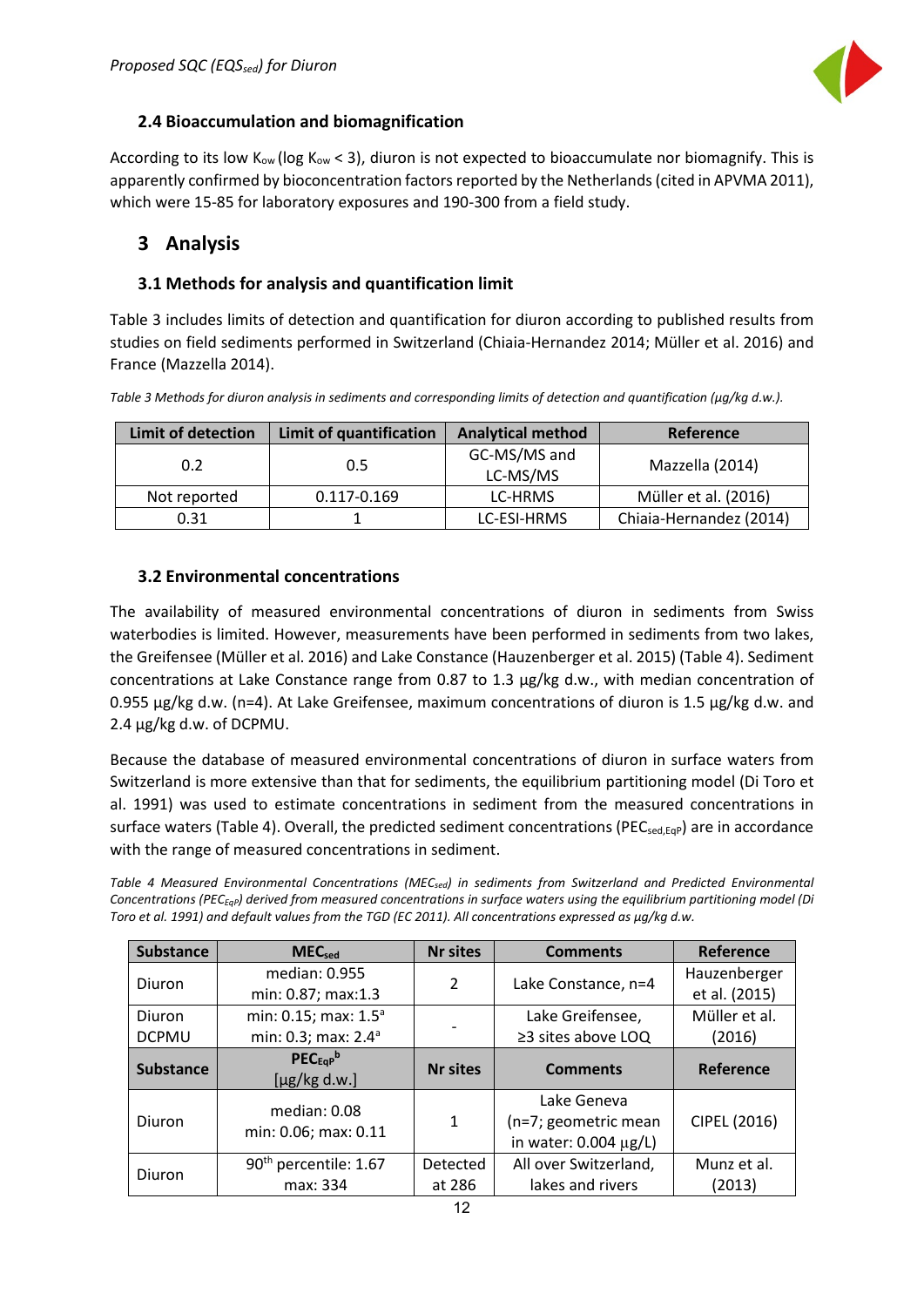

#### <span id="page-12-0"></span>**2.4 Bioaccumulation and biomagnification**

According to its low  $K_{ow}$  (log  $K_{ow}$  < 3), diuron is not expected to bioaccumulate nor biomagnify. This is apparently confirmed by bioconcentration factors reported by the Netherlands (cited in APVMA 2011), which were 15-85 for laboratory exposures and 190-300 from a field study.

### <span id="page-12-1"></span>**3 Analysis**

#### <span id="page-12-2"></span>**3.1 Methods for analysis and quantification limit**

Table 3 includes limits of detection and quantification for diuron according to published results from studies on field sediments performed in Switzerland (Chiaia-Hernandez 2014; Müller et al. 2016) and France (Mazzella 2014).

*Table 3 Methods for diuron analysis in sediments and corresponding limits of detection and quantification (µg/kg d.w.).* 

| <b>Limit of detection</b><br>Limit of quantification |             | <b>Analytical method</b> | Reference               |
|------------------------------------------------------|-------------|--------------------------|-------------------------|
| 0.2                                                  | 0.5         |                          | Mazzella (2014)         |
| Not reported                                         | 0.117-0.169 | LC-HRMS                  | Müller et al. (2016)    |
| 0.31                                                 |             | LC-ESI-HRMS              | Chiaia-Hernandez (2014) |

#### <span id="page-12-3"></span>**3.2 Environmental concentrations**

The availability of measured environmental concentrations of diuron in sediments from Swiss waterbodies is limited. However, measurements have been performed in sediments from two lakes, the Greifensee (Müller et al. 2016) and Lake Constance (Hauzenberger et al. 2015) (Table 4). Sediment concentrations at Lake Constance range from 0.87 to 1.3 µg/kg d.w., with median concentration of 0.955 µg/kg d.w. (n=4). At Lake Greifensee, maximum concentrations of diuron is 1.5 µg/kg d.w. and 2.4 µg/kg d.w. of DCPMU.

Because the database of measured environmental concentrations of diuron in surface waters from Switzerland is more extensive than that for sediments, the equilibrium partitioning model (Di Toro et al. 1991) was used to estimate concentrations in sediment from the measured concentrations in surface waters (Table 4). Overall, the predicted sediment concentrations (PEC<sub>sed,EqP</sub>) are in accordance with the range of measured concentrations in sediment.

*Table 4 Measured Environmental Concentrations (MECsed) in sediments from Switzerland and Predicted Environmental Concentrations (PECEqP) derived from measured concentrations in surface waters using the equilibrium partitioning model (Di Toro et al. 1991) and default values from the TGD (EC 2011). All concentrations expressed as µg/kg d.w.* 

| <b>Substance</b> | <b>MEC</b> <sub>sed</sub>         | <b>Nr sites</b> | <b>Comments</b>           | Reference     |
|------------------|-----------------------------------|-----------------|---------------------------|---------------|
| Diuron           | median: 0.955                     | 2               | Lake Constance, n=4       | Hauzenberger  |
|                  | min: 0.87; max:1.3                |                 |                           | et al. (2015) |
| Diuron           | min: 0.15; max: 1.5 <sup>a</sup>  |                 | Lake Greifensee,          | Müller et al. |
| <b>DCPMU</b>     | min: 0.3; max: 2.4 <sup>a</sup>   |                 | $\geq$ 3 sites above LOQ  | (2016)        |
|                  | $PEC_{EGP}$                       | <b>Nr sites</b> | <b>Comments</b>           | Reference     |
| <b>Substance</b> | $[\mu$ g/kg d.w.]                 |                 |                           |               |
|                  | median: $0.08$                    |                 | Lake Geneva               |               |
| Diuron           | min: 0.06; max: 0.11              | 1               | (n=7; geometric mean      | CIPEL (2016)  |
|                  |                                   |                 | in water: $0.004 \mu g/L$ |               |
| Diuron           | 90 <sup>th</sup> percentile: 1.67 | <b>Detected</b> | All over Switzerland,     | Munz et al.   |
|                  | max: 334                          | at 286          | lakes and rivers          | (2013)        |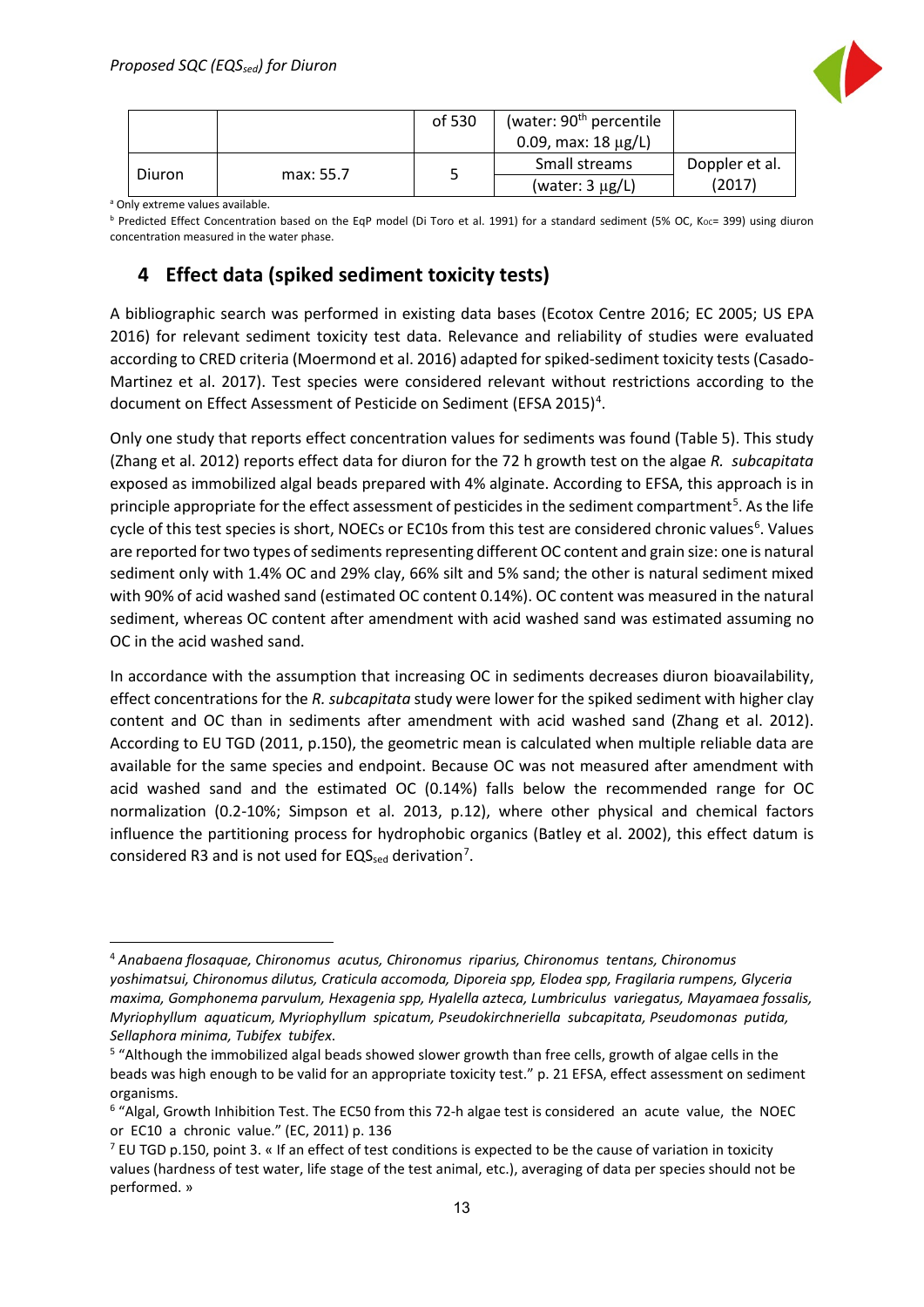

|        |           | of 530 | (water: 90 <sup>th</sup> percentile |                |
|--------|-----------|--------|-------------------------------------|----------------|
|        |           |        | 0.09, max: $18 \mu g/L$ )           |                |
|        |           |        | Small streams                       | Doppler et al. |
| Diuron | max: 55.7 |        | (water: $3 \mu g/L$ )               | (2017)         |

<sup>a</sup> Only extreme values available.

**b Predicted Effect Concentration based on the EqP model (Di Toro et al. 1991) for a standard sediment (5% OC, Koc= 399) using diuron** concentration measured in the water phase.

# <span id="page-13-0"></span>**4 Effect data (spiked sediment toxicity tests)**

A bibliographic search was performed in existing data bases (Ecotox Centre 2016; EC 2005; US EPA 2016) for relevant sediment toxicity test data. Relevance and reliability of studies were evaluated according to CRED criteria (Moermond et al. 2016) adapted for spiked-sediment toxicity tests (Casado-Martinez et al. 2017). Test species were considered relevant without restrictions according to the document on Effect Assessment of Pesticide on Sediment (EFSA 2015)<sup>[4](#page-13-1)</sup>.

Only one study that reports effect concentration values for sediments was found (Table 5). This study (Zhang et al. 2012) reports effect data for diuron for the 72 h growth test on the algae *R. subcapitata* exposed as immobilized algal beads prepared with 4% alginate. According to EFSA, this approach is in principle appropriate for the effect assessment of pesticides in the sediment compartment<sup>[5](#page-13-2)</sup>. As the life cycle of this test species is short, NOECs or EC10s from this test are considered chronic values<sup>[6](#page-13-3)</sup>. Values are reported for two types of sediments representing different OC content and grain size: one is natural sediment only with 1.4% OC and 29% clay, 66% silt and 5% sand; the other is natural sediment mixed with 90% of acid washed sand (estimated OC content 0.14%). OC content was measured in the natural sediment, whereas OC content after amendment with acid washed sand was estimated assuming no OC in the acid washed sand.

In accordance with the assumption that increasing OC in sediments decreases diuron bioavailability, effect concentrations for the *R. subcapitata* study were lower for the spiked sediment with higher clay content and OC than in sediments after amendment with acid washed sand (Zhang et al. 2012). According to EU TGD (2011, p.150), the geometric mean is calculated when multiple reliable data are available for the same species and endpoint. Because OC was not measured after amendment with acid washed sand and the estimated OC (0.14%) falls below the recommended range for OC normalization (0.2-10%; Simpson et al. 2013, p.12), where other physical and chemical factors influence the partitioning process for hydrophobic organics (Batley et al. 2002), this effect datum is considered R3 and is not used for EQS $_{\text{sed}}$  derivation<sup>[7](#page-13-4)</sup>.

<span id="page-13-1"></span> <sup>4</sup> *Anabaena flosaquae, Chironomus acutus, Chironomus riparius, Chironomus tentans, Chironomus yoshimatsui, Chironomus dilutus, Craticula accomoda, Diporeia spp, Elodea spp, Fragilaria rumpens, Glyceria maxima, Gomphonema parvulum, Hexagenia spp, Hyalella azteca, Lumbriculus variegatus, Mayamaea fossalis, Myriophyllum aquaticum, Myriophyllum spicatum, Pseudokirchneriella subcapitata, Pseudomonas putida, Sellaphora minima, Tubifex tubifex*.

<span id="page-13-2"></span><sup>5</sup> "Although the immobilized algal beads showed slower growth than free cells, growth of algae cells in the beads was high enough to be valid for an appropriate toxicity test." p. 21 EFSA, effect assessment on sediment organisms.

<span id="page-13-3"></span><sup>6</sup> "Algal, Growth Inhibition Test. The EC50 from this 72-h algae test is considered an acute value, the NOEC or EC10 a chronic value." (EC, 2011) p. 136

<span id="page-13-4"></span> $^7$  EU TGD p.150, point 3, « If an effect of test conditions is expected to be the cause of variation in toxicity values (hardness of test water, life stage of the test animal, etc.), averaging of data per species should not be performed. »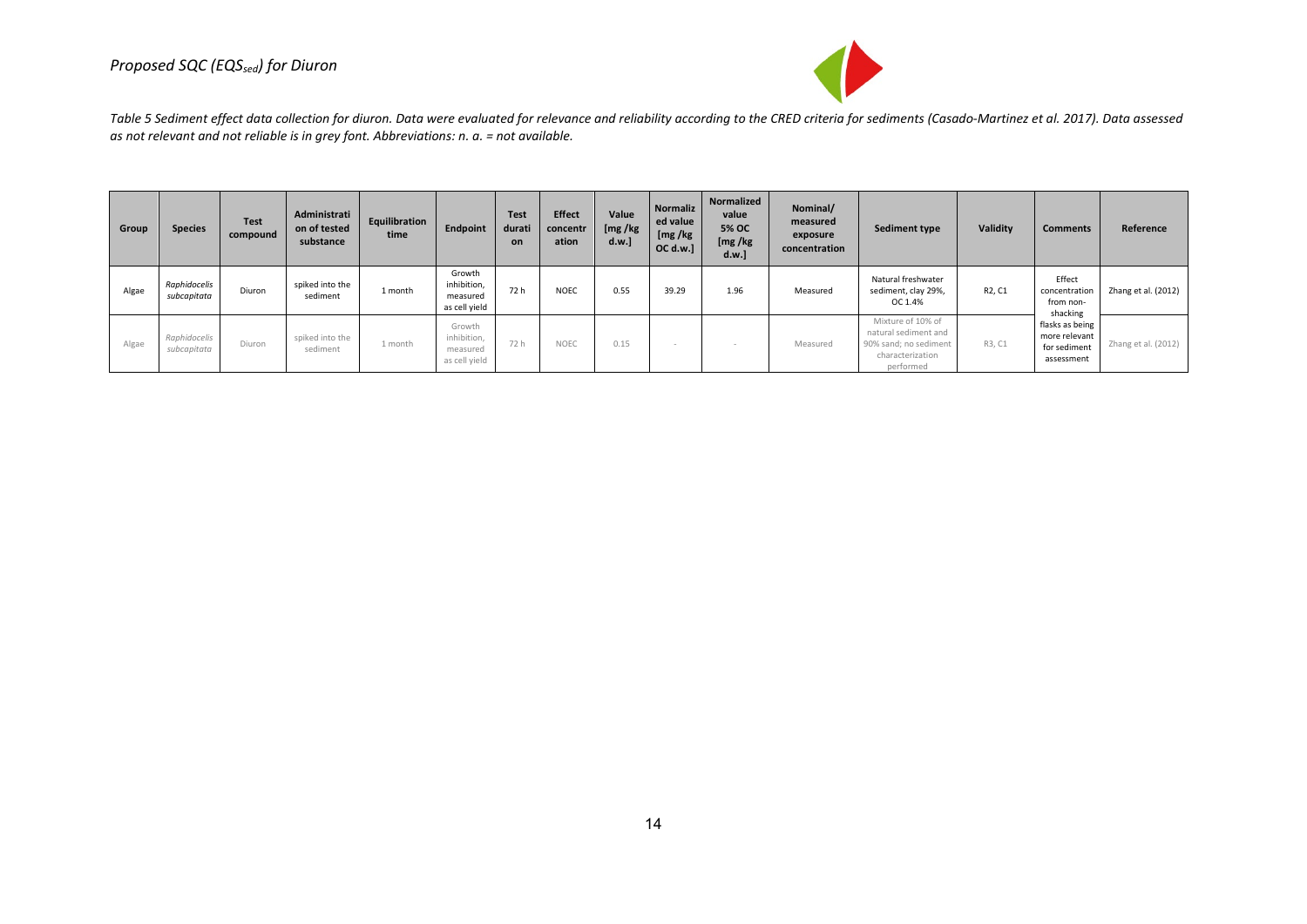

*Table 5 Sediment effect data collection for diuron. Data were evaluated for relevance and reliability according to the CRED criteria for sediments (Casado-Martinez et al. 2017). Data assessed as not relevant and not reliable is in grey font. Abbreviations: n. a. = not available.* 

| Group | <b>Species</b>              | <b>Test</b><br>compound | Administrati<br>on of tested<br>substance | Equilibration<br>time | <b>Endpoint</b>                                    | <b>Test</b><br>durati<br>on | <b>Effect</b><br>concentr<br>ation | Value<br>[mg/kg]<br>d.w.] | Normaliz<br>ed value<br>[mg/kg]<br>OC d.w.] | Normalized<br>value<br><b>5% OC</b><br>[mg/kg]<br>d.w.] | Nominal/<br>measured<br>exposure<br>concentration | Sediment type                                                                                       | Validity                        | <b>Comments</b>                                                | Reference           |
|-------|-----------------------------|-------------------------|-------------------------------------------|-----------------------|----------------------------------------------------|-----------------------------|------------------------------------|---------------------------|---------------------------------------------|---------------------------------------------------------|---------------------------------------------------|-----------------------------------------------------------------------------------------------------|---------------------------------|----------------------------------------------------------------|---------------------|
| Algae | Raphidocelis<br>subcapitata | Diuron                  | spiked into the<br>sediment               | 1 month               | Growth<br>inhibition,<br>measured<br>as cell yield | 72 h                        | <b>NOEC</b>                        | 0.55                      | 39.29                                       | 1.96                                                    | Measured                                          | Natural freshwater<br>sediment, clay 29%,<br>OC 1.4%                                                | R <sub>2</sub> , C <sub>1</sub> | Effect<br>concentration<br>from non-<br>shacking               | Zhang et al. (2012) |
| Algae | Raphidocelis<br>subcapitata | Diuron                  | spiked into the<br>sediment               | 1 month               | Growth<br>inhibition,<br>measured<br>as cell yield | 72 h                        | <b>NOEC</b>                        | 0.15                      |                                             |                                                         | Measured                                          | Mixture of 10% of<br>natural sediment and<br>90% sand; no sediment<br>characterization<br>performed | R3, C1                          | flasks as being<br>more relevant<br>for sediment<br>assessment | Zhang et al. (2012) |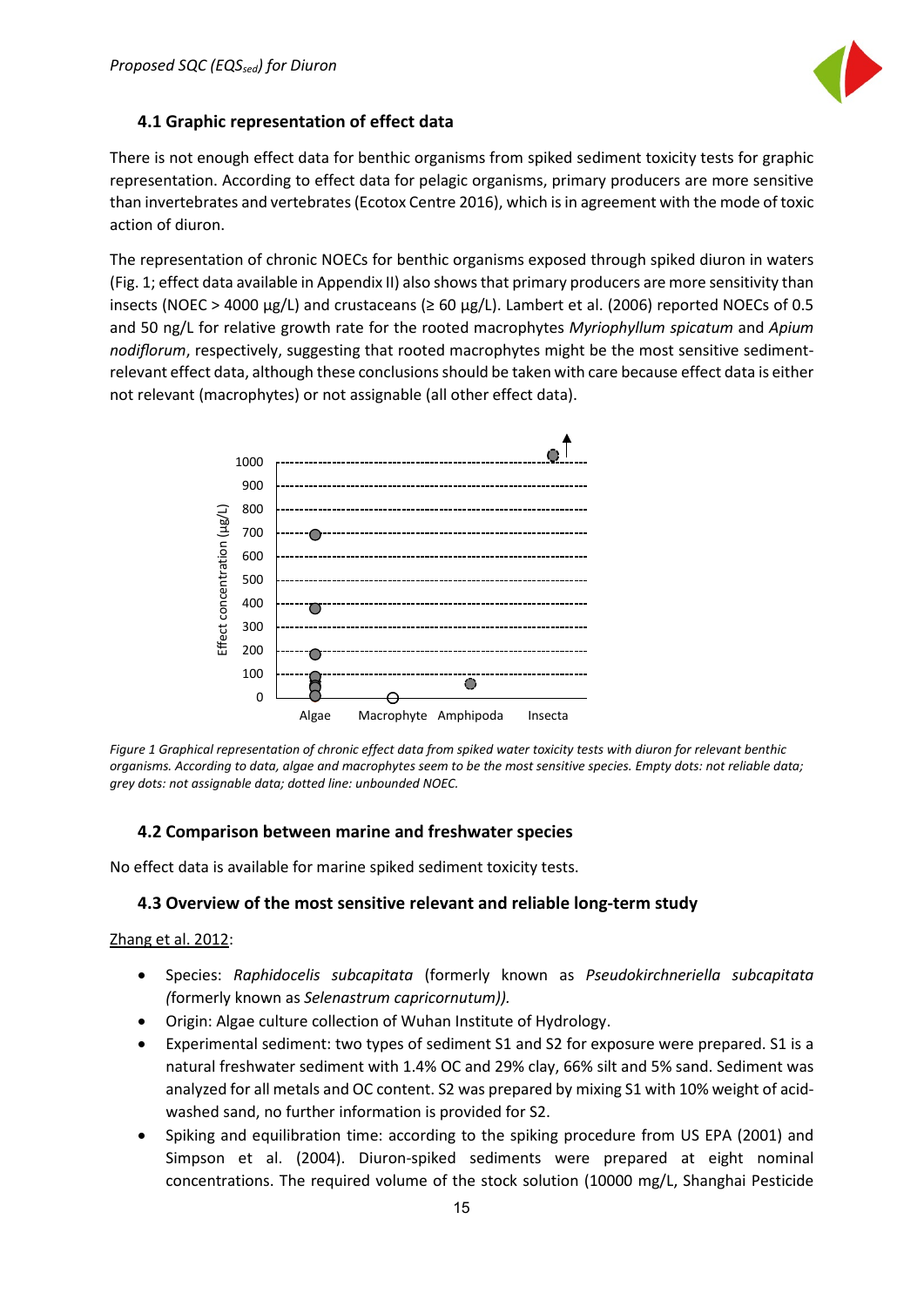

#### <span id="page-15-0"></span>**4.1 Graphic representation of effect data**

There is not enough effect data for benthic organisms from spiked sediment toxicity tests for graphic representation. According to effect data for pelagic organisms, primary producers are more sensitive than invertebrates and vertebrates (Ecotox Centre 2016), which is in agreement with the mode of toxic action of diuron.

The representation of chronic NOECs for benthic organisms exposed through spiked diuron in waters (Fig. 1; effect data available in Appendix II) also shows that primary producers are more sensitivity than insects (NOEC > 4000  $\mu$ g/L) and crustaceans ( $\geq 60 \mu$ g/L). Lambert et al. (2006) reported NOECs of 0.5 and 50 ng/L for relative growth rate for the rooted macrophytes *Myriophyllum spicatum* and *Apium nodiflorum*, respectively, suggesting that rooted macrophytes might be the most sensitive sedimentrelevant effect data, although these conclusions should be taken with care because effect data is either not relevant (macrophytes) or not assignable (all other effect data).



*Figure 1 Graphical representation of chronic effect data from spiked water toxicity tests with diuron for relevant benthic organisms. According to data, algae and macrophytes seem to be the most sensitive species. Empty dots: not reliable data; grey dots: not assignable data; dotted line: unbounded NOEC.* 

#### <span id="page-15-1"></span>**4.2 Comparison between marine and freshwater species**

No effect data is available for marine spiked sediment toxicity tests.

#### <span id="page-15-2"></span>**4.3 Overview of the most sensitive relevant and reliable long-term study**

#### Zhang et al. 2012:

- Species: *Raphidocelis subcapitata* (formerly known as *Pseudokirchneriella subcapitata (*formerly known as *Selenastrum capricornutum)).*
- Origin: Algae culture collection of Wuhan Institute of Hydrology.
- Experimental sediment: two types of sediment S1 and S2 for exposure were prepared. S1 is a natural freshwater sediment with 1.4% OC and 29% clay, 66% silt and 5% sand. Sediment was analyzed for all metals and OC content. S2 was prepared by mixing S1 with 10% weight of acidwashed sand, no further information is provided for S2.
- Spiking and equilibration time: according to the spiking procedure from US EPA (2001) and Simpson et al. (2004). Diuron-spiked sediments were prepared at eight nominal concentrations. The required volume of the stock solution (10000 mg/L, Shanghai Pesticide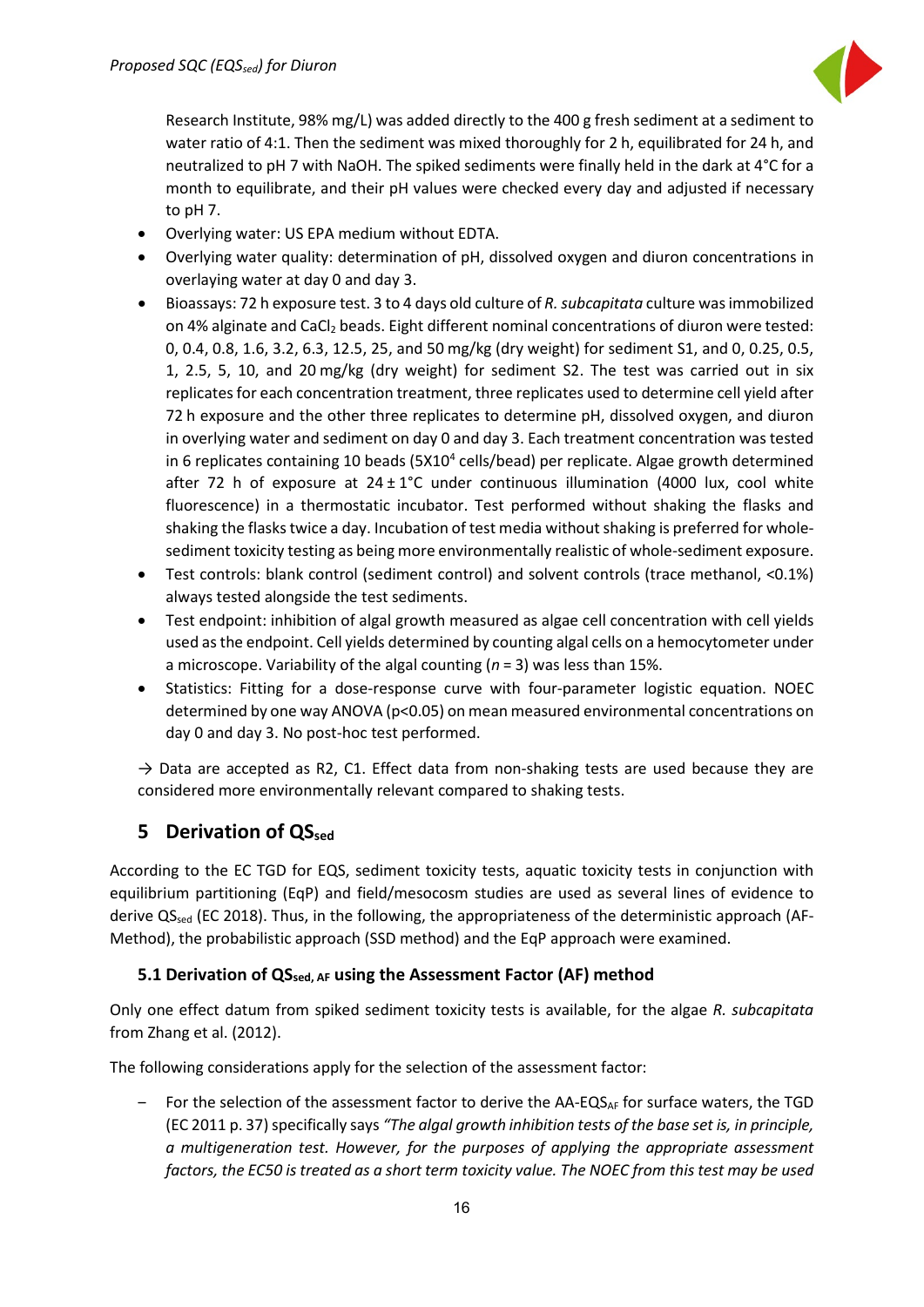

Research Institute, 98% mg/L) was added directly to the 400 g fresh sediment at a sediment to water ratio of 4:1. Then the sediment was mixed thoroughly for 2 h, equilibrated for 24 h, and neutralized to pH 7 with NaOH. The spiked sediments were finally held in the dark at 4°C for a month to equilibrate, and their pH values were checked every day and adjusted if necessary to pH 7.

- Overlying water: US EPA medium without EDTA.
- Overlying water quality: determination of pH, dissolved oxygen and diuron concentrations in overlaying water at day 0 and day 3.
- Bioassays: 72 h exposure test. 3 to 4 days old culture of *R. subcapitata* culture was immobilized on 4% alginate and CaCl<sub>2</sub> beads. Eight different nominal concentrations of diuron were tested: 0, 0.4, 0.8, 1.6, 3.2, 6.3, 12.5, 25, and 50 mg/kg (dry weight) for sediment S1, and 0, 0.25, 0.5, 1, 2.5, 5, 10, and 20 mg/kg (dry weight) for sediment S2. The test was carried out in six replicates for each concentration treatment, three replicates used to determine cell yield after 72 h exposure and the other three replicates to determine pH, dissolved oxygen, and diuron in overlying water and sediment on day 0 and day 3. Each treatment concentration was tested in 6 replicates containing 10 beads (5X10<sup>4</sup> cells/bead) per replicate. Algae growth determined after 72 h of exposure at  $24 \pm 1^{\circ}$ C under continuous illumination (4000 lux, cool white fluorescence) in a thermostatic incubator. Test performed without shaking the flasks and shaking the flasks twice a day. Incubation of test media without shaking is preferred for wholesediment toxicity testing as being more environmentally realistic of whole-sediment exposure.
- Test controls: blank control (sediment control) and solvent controls (trace methanol, <0.1%) always tested alongside the test sediments.
- Test endpoint: inhibition of algal growth measured as algae cell concentration with cell yields used as the endpoint. Cell yields determined by counting algal cells on a hemocytometer under a microscope. Variability of the algal counting (*n* = 3) was less than 15%.
- Statistics: Fitting for a dose-response curve with four-parameter logistic equation. NOEC determined by one way ANOVA (p<0.05) on mean measured environmental concentrations on day 0 and day 3. No post-hoc test performed.

 $\rightarrow$  Data are accepted as R2, C1. Effect data from non-shaking tests are used because they are considered more environmentally relevant compared to shaking tests.

# <span id="page-16-0"></span>**5 Derivation of QS**sed

According to the EC TGD for EQS, sediment toxicity tests, aquatic toxicity tests in conjunction with equilibrium partitioning (EqP) and field/mesocosm studies are used as several lines of evidence to derive QS<sub>sed</sub> (EC 2018). Thus, in the following, the appropriateness of the deterministic approach (AF-Method), the probabilistic approach (SSD method) and the EqP approach were examined.

#### <span id="page-16-1"></span>**5.1 Derivation of QSsed, AF using the Assessment Factor (AF) method**

Only one effect datum from spiked sediment toxicity tests is available, for the algae *R. subcapitata* from Zhang et al. (2012).

The following considerations apply for the selection of the assessment factor:

 $-$  For the selection of the assessment factor to derive the AA-EQS<sub>AF</sub> for surface waters, the TGD (EC 2011 p. 37) specifically says *"The algal growth inhibition tests of the base set is, in principle, a multigeneration test. However, for the purposes of applying the appropriate assessment factors, the EC50 is treated as a short term toxicity value. The NOEC from this test may be used*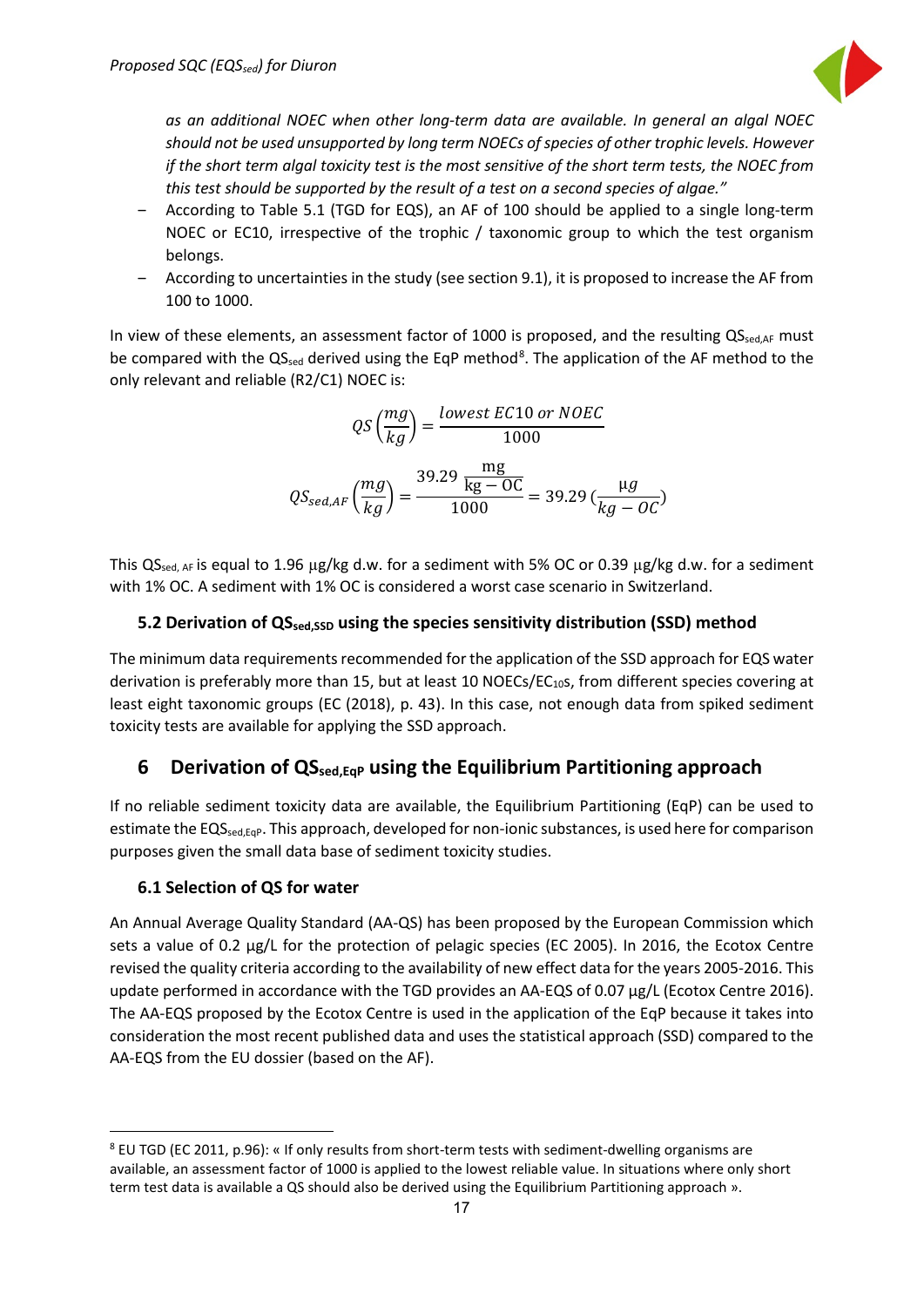

*as an additional NOEC when other long-term data are available. In general an algal NOEC should not be used unsupported by long term NOECs of species of other trophic levels. However if the short term algal toxicity test is the most sensitive of the short term tests, the NOEC from this test should be supported by the result of a test on a second species of algae."* 

- ‒ According to Table 5.1 (TGD for EQS), an AF of 100 should be applied to a single long-term NOEC or EC10, irrespective of the trophic / taxonomic group to which the test organism belongs.
- ‒ According to uncertainties in the study (see section 9.1), it is proposed to increase the AF from 100 to 1000.

In view of these elements, an assessment factor of 1000 is proposed, and the resulting  $QS_{\text{sed AF}}$  must be compared with the QS<sub>sed</sub> derived using the EqP method<sup>[8](#page-17-3)</sup>. The application of the AF method to the only relevant and reliable (R2/C1) NOEC is:

$$
QS\left(\frac{mg}{kg}\right) = \frac{lowest EC10 \text{ or } NOEC}{1000}
$$

$$
QS_{sed,AF}\left(\frac{mg}{kg}\right) = \frac{39.29 \frac{mg}{kg - OC}}{1000} = 39.29 \left(\frac{\mu g}{kg - OC}\right)
$$

This  $QS_{\text{sed, AF}}$  is equal to 1.96  $\mu$ g/kg d.w. for a sediment with 5% OC or 0.39  $\mu$ g/kg d.w. for a sediment with 1% OC. A sediment with 1% OC is considered a worst case scenario in Switzerland.

#### <span id="page-17-0"></span>**5.2 Derivation of QSsed,SSD using the species sensitivity distribution (SSD) method**

The minimum data requirements recommended for the application of the SSD approach for EQS water derivation is preferably more than 15, but at least 10 NOECs/ $EC_{10}$ s, from different species covering at least eight taxonomic groups (EC (2018), p. 43). In this case, not enough data from spiked sediment toxicity tests are available for applying the SSD approach.

#### <span id="page-17-1"></span>**6 Derivation of QSsed,EqP using the Equilibrium Partitioning approach**

If no reliable sediment toxicity data are available, the Equilibrium Partitioning (EqP) can be used to estimate the EQS<sub>sed,Eqp</sub>. This approach, developed for non-ionic substances, is used here for comparison purposes given the small data base of sediment toxicity studies.

#### <span id="page-17-2"></span>**6.1 Selection of QS for water**

An Annual Average Quality Standard (AA-QS) has been proposed by the European Commission which sets a value of 0.2 µg/L for the protection of pelagic species (EC 2005). In 2016, the Ecotox Centre revised the quality criteria according to the availability of new effect data for the years 2005-2016. This update performed in accordance with the TGD provides an AA-EQS of 0.07 µg/L (Ecotox Centre 2016). The AA-EQS proposed by the Ecotox Centre is used in the application of the EqP because it takes into consideration the most recent published data and uses the statistical approach (SSD) compared to the AA-EQS from the EU dossier (based on the AF).

<span id="page-17-3"></span> <sup>8</sup> EU TGD (EC 2011, p.96): « If only results from short-term tests with sediment-dwelling organisms are available, an assessment factor of 1000 is applied to the lowest reliable value. In situations where only short term test data is available a QS should also be derived using the Equilibrium Partitioning approach ».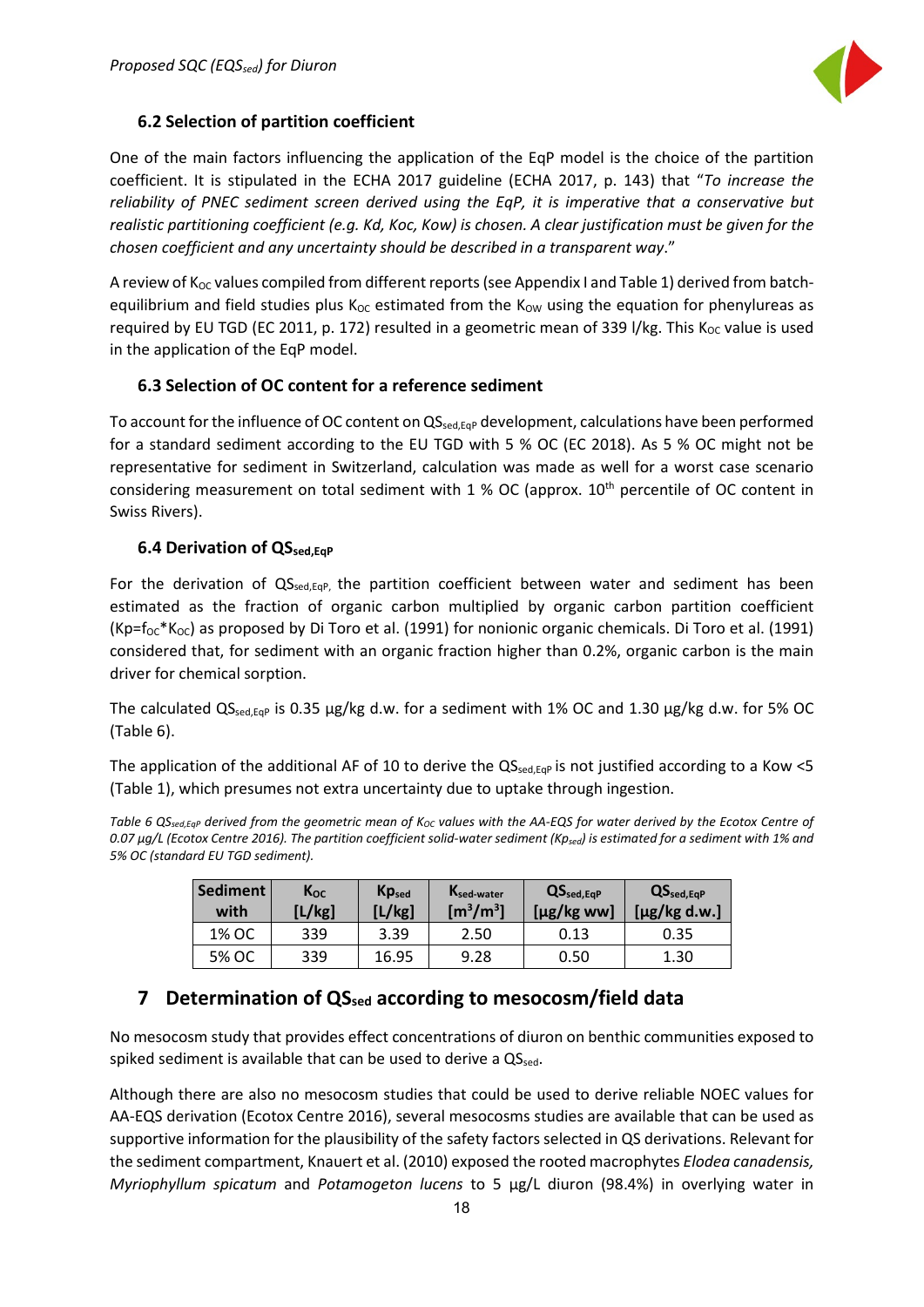

#### <span id="page-18-0"></span>**6.2 Selection of partition coefficient**

One of the main factors influencing the application of the EqP model is the choice of the partition coefficient. It is stipulated in the ECHA 2017 guideline (ECHA 2017, p. 143) that "*To increase the reliability of PNEC sediment screen derived using the EqP, it is imperative that a conservative but realistic partitioning coefficient (e.g. Kd, Koc, Kow) is chosen. A clear justification must be given for the chosen coefficient and any uncertainty should be described in a transparent way*."

A review of K<sub>OC</sub> values compiled from different reports (see Appendix I and Table 1) derived from batchequilibrium and field studies plus  $K_{OC}$  estimated from the  $K_{OW}$  using the equation for phenylureas as required by EU TGD (EC 2011, p. 172) resulted in a geometric mean of 339 l/kg. This  $K_{OC}$  value is used in the application of the EqP model.

#### <span id="page-18-1"></span>**6.3 Selection of OC content for a reference sediment**

To account for the influence of OC content on  $QS_{\text{sed,EqP}}$  development, calculations have been performed for a standard sediment according to the EU TGD with 5 % OC (EC 2018). As 5 % OC might not be representative for sediment in Switzerland, calculation was made as well for a worst case scenario considering measurement on total sediment with 1 % OC (approx.  $10<sup>th</sup>$  percentile of OC content in Swiss Rivers).

#### <span id="page-18-2"></span>**6.4 Derivation of QS**sed, Eq.

For the derivation of QS<sub>sed,EqP</sub>, the partition coefficient between water and sediment has been estimated as the fraction of organic carbon multiplied by organic carbon partition coefficient  $(Kp=f_{OC} * K_{OC})$  as proposed by Di Toro et al. (1991) for nonionic organic chemicals. Di Toro et al. (1991) considered that, for sediment with an organic fraction higher than 0.2%, organic carbon is the main driver for chemical sorption.

The calculated QS<sub>sed,Eqp</sub> is 0.35 µg/kg d.w. for a sediment with 1% OC and 1.30 µg/kg d.w. for 5% OC (Table 6).

The application of the additional AF of 10 to derive the  $QS_{\text{sedEGP}}$  is not justified according to a Kow <5 (Table 1), which presumes not extra uncertainty due to uptake through ingestion.

Table 6 QS<sub>sed,EqP</sub> derived from the geometric mean of K<sub>OC</sub> values with the AA-EQS for water derived by the Ecotox Centre of *0.07 µg/L (Ecotox Centre 2016). The partition coefficient solid-water sediment (Kpsed) is estimated for a sediment with 1% and 5% OC (standard EU TGD sediment).*

| <b>Sediment</b><br>with | $K_{OC}$<br>[L/kg] | <b>Kp</b> sed<br>K <sub>sed-water</sub><br>$\left[\text{m}^3/\text{m}^3\right]$<br>[L/kg] |      | $QS_{\text{sed,EqP}}$<br>$[\mu$ g/kg ww] | $QS_{sed,EqP}$<br>$[\mu$ g/kg d.w.] |
|-------------------------|--------------------|-------------------------------------------------------------------------------------------|------|------------------------------------------|-------------------------------------|
| 1% OC                   | 339                | 3.39                                                                                      | 2.50 | 0.13                                     | 0.35                                |
| 5% OC                   | 339                | 16.95                                                                                     | 9.28 | 0.50                                     | 1.30                                |

#### <span id="page-18-3"></span>**7 Determination of QSsed according to mesocosm/field data**

No mesocosm study that provides effect concentrations of diuron on benthic communities exposed to spiked sediment is available that can be used to derive a QSsed.

Although there are also no mesocosm studies that could be used to derive reliable NOEC values for AA-EQS derivation (Ecotox Centre 2016), several mesocosms studies are available that can be used as supportive information for the plausibility of the safety factors selected in QS derivations. Relevant for the sediment compartment, Knauert et al. (2010) exposed the rooted macrophytes *Elodea canadensis, Myriophyllum spicatum* and *Potamogeton lucens* to 5 µg/L diuron (98.4%) in overlying water in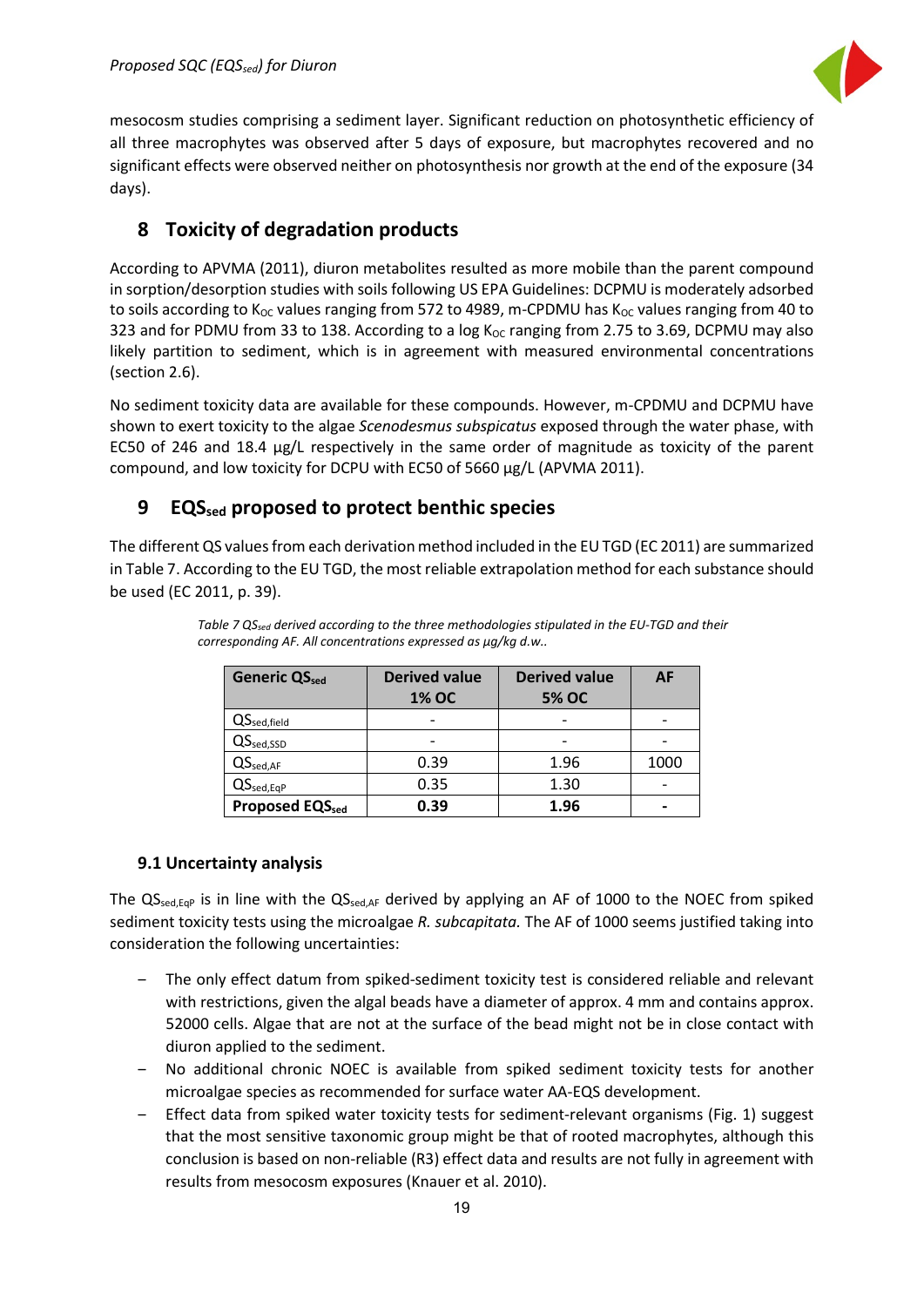

mesocosm studies comprising a sediment layer. Significant reduction on photosynthetic efficiency of all three macrophytes was observed after 5 days of exposure, but macrophytes recovered and no significant effects were observed neither on photosynthesis nor growth at the end of the exposure (34 days).

# <span id="page-19-0"></span>**8 Toxicity of degradation products**

According to APVMA (2011), diuron metabolites resulted as more mobile than the parent compound in sorption/desorption studies with soils following US EPA Guidelines: DCPMU is moderately adsorbed to soils according to  $K_{OC}$  values ranging from 572 to 4989, m-CPDMU has  $K_{OC}$  values ranging from 40 to 323 and for PDMU from 33 to 138. According to a log K<sub>oc</sub> ranging from 2.75 to 3.69, DCPMU may also likely partition to sediment, which is in agreement with measured environmental concentrations (section 2.6).

No sediment toxicity data are available for these compounds. However, m-CPDMU and DCPMU have shown to exert toxicity to the algae *Scenodesmus subspicatus* exposed through the water phase, with EC50 of 246 and 18.4 µg/L respectively in the same order of magnitude as toxicity of the parent compound, and low toxicity for DCPU with EC50 of 5660 µg/L (APVMA 2011).

# <span id="page-19-1"></span>**9 EQSsed proposed to protect benthic species**

The different QS values from each derivation method included in the EU TGD (EC 2011) are summarized in Table 7. According to the EU TGD, the most reliable extrapolation method for each substance should be used (EC 2011, p. 39).

| <b>Generic QSsed</b>               | <b>Derived value</b><br><b>1% OC</b> | <b>Derived value</b><br><b>5% OC</b> | AF   |
|------------------------------------|--------------------------------------|--------------------------------------|------|
| QS <sub>sed,field</sub>            |                                      |                                      |      |
| $QS_{\text{sed,SSD}}$              |                                      |                                      |      |
| $QS_{\text{sed,AF}}$               | 0.39                                 | 1.96                                 | 1000 |
| $QS_{\text{sed},\text{EqP}}$       | 0.35                                 | 1.30                                 |      |
| <b>Proposed EQS</b> <sub>sed</sub> | 0.39                                 | 1.96                                 |      |

*Table 7 QSsed derived according to the three methodologies stipulated in the EU-TGD and their corresponding AF. All concentrations expressed as µg/kg d.w..*

#### <span id="page-19-2"></span>**9.1 Uncertainty analysis**

The  $QS_{\text{sed},EqP}$  is in line with the  $QS_{\text{sed},AF}$  derived by applying an AF of 1000 to the NOEC from spiked sediment toxicity tests using the microalgae *R. subcapitata.* The AF of 1000 seems justified taking into consideration the following uncertainties:

- ‒ The only effect datum from spiked-sediment toxicity test is considered reliable and relevant with restrictions, given the algal beads have a diameter of approx. 4 mm and contains approx. 52000 cells. Algae that are not at the surface of the bead might not be in close contact with diuron applied to the sediment.
- ‒ No additional chronic NOEC is available from spiked sediment toxicity tests for another microalgae species as recommended for surface water AA-EQS development.
- ‒ Effect data from spiked water toxicity tests for sediment-relevant organisms (Fig. 1) suggest that the most sensitive taxonomic group might be that of rooted macrophytes, although this conclusion is based on non-reliable (R3) effect data and results are not fully in agreement with results from mesocosm exposures (Knauer et al. 2010).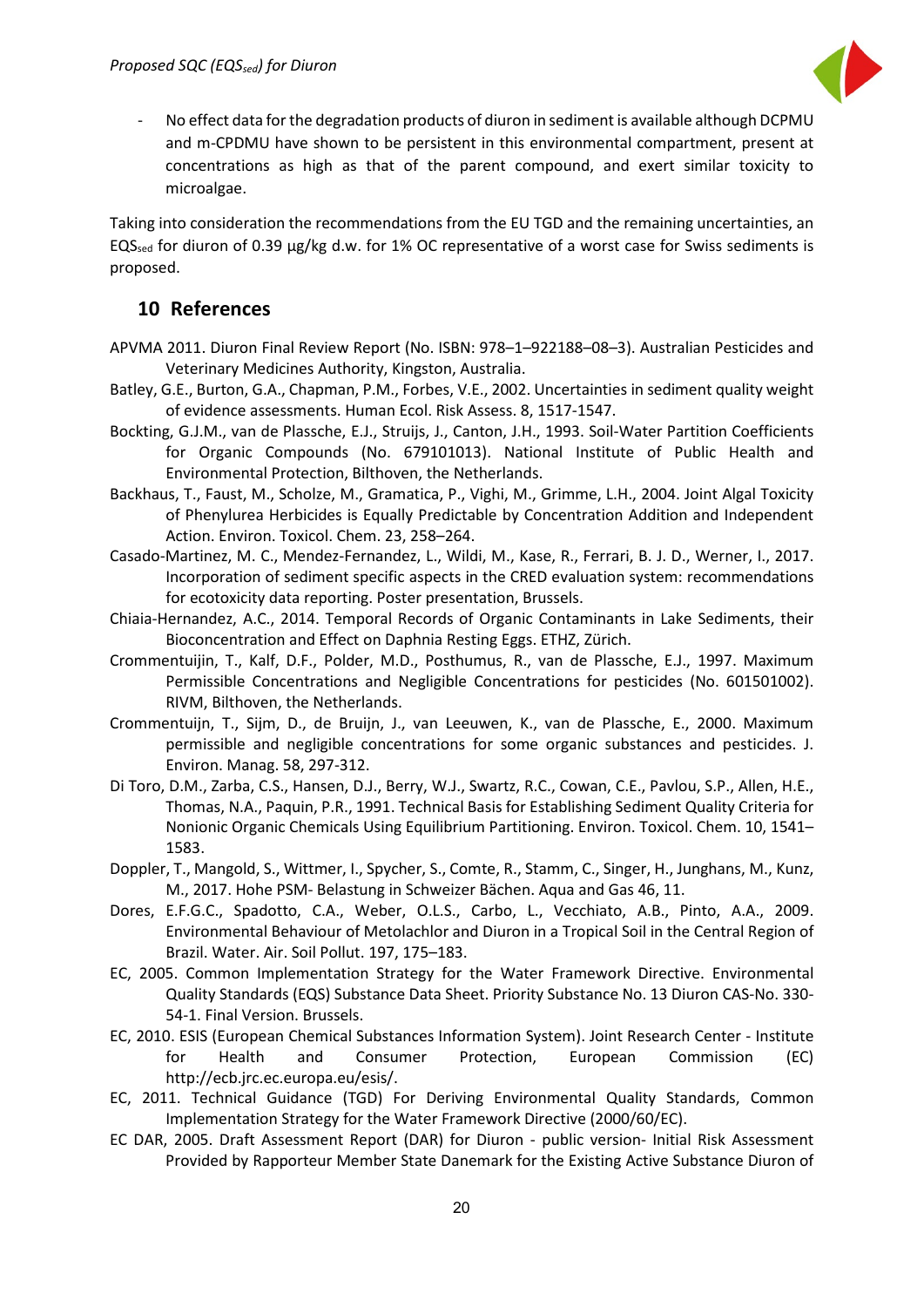

- No effect data for the degradation products of diuron in sediment is available although DCPMU and m-CPDMU have shown to be persistent in this environmental compartment, present at concentrations as high as that of the parent compound, and exert similar toxicity to microalgae.

Taking into consideration the recommendations from the EU TGD and the remaining uncertainties, an EQS<sub>sed</sub> for diuron of 0.39 µg/kg d.w. for 1% OC representative of a worst case for Swiss sediments is proposed.

#### <span id="page-20-0"></span>**10 References**

- APVMA 2011. Diuron Final Review Report (No. ISBN: 978–1–922188–08–3). Australian Pesticides and Veterinary Medicines Authority, Kingston, Australia.
- Batley, G.E., Burton, G.A., Chapman, P.M., Forbes, V.E., 2002. Uncertainties in sediment quality weight of evidence assessments. Human Ecol. Risk Assess. 8, 1517-1547.
- Bockting, G.J.M., van de Plassche, E.J., Struijs, J., Canton, J.H., 1993. Soil-Water Partition Coefficients for Organic Compounds (No. 679101013). National Institute of Public Health and Environmental Protection, Bilthoven, the Netherlands.
- Backhaus, T., Faust, M., Scholze, M., Gramatica, P., Vighi, M., Grimme, L.H., 2004. Joint Algal Toxicity of Phenylurea Herbicides is Equally Predictable by Concentration Addition and Independent Action. Environ. Toxicol. Chem. 23, 258–264.
- Casado-Martinez, M. C., Mendez-Fernandez, L., Wildi, M., Kase, R., Ferrari, B. J. D., Werner, I., 2017. Incorporation of sediment specific aspects in the CRED evaluation system: recommendations for ecotoxicity data reporting. Poster presentation, Brussels.
- Chiaia-Hernandez, A.C., 2014. Temporal Records of Organic Contaminants in Lake Sediments, their Bioconcentration and Effect on Daphnia Resting Eggs. ETHZ, Zürich.
- Crommentuijin, T., Kalf, D.F., Polder, M.D., Posthumus, R., van de Plassche, E.J., 1997. Maximum Permissible Concentrations and Negligible Concentrations for pesticides (No. 601501002). RIVM, Bilthoven, the Netherlands.
- Crommentuijn, T., Sijm, D., de Bruijn, J., van Leeuwen, K., van de Plassche, E., 2000. Maximum permissible and negligible concentrations for some organic substances and pesticides. J. Environ. Manag. 58, 297-312.
- Di Toro, D.M., Zarba, C.S., Hansen, D.J., Berry, W.J., Swartz, R.C., Cowan, C.E., Pavlou, S.P., Allen, H.E., Thomas, N.A., Paquin, P.R., 1991. Technical Basis for Establishing Sediment Quality Criteria for Nonionic Organic Chemicals Using Equilibrium Partitioning. Environ. Toxicol. Chem. 10, 1541– 1583.
- Doppler, T., Mangold, S., Wittmer, I., Spycher, S., Comte, R., Stamm, C., Singer, H., Junghans, M., Kunz, M., 2017. Hohe PSM- Belastung in Schweizer Bächen. Aqua and Gas 46, 11.
- Dores, E.F.G.C., Spadotto, C.A., Weber, O.L.S., Carbo, L., Vecchiato, A.B., Pinto, A.A., 2009. Environmental Behaviour of Metolachlor and Diuron in a Tropical Soil in the Central Region of Brazil. Water. Air. Soil Pollut. 197, 175–183.
- EC, 2005. Common Implementation Strategy for the Water Framework Directive. Environmental Quality Standards (EQS) Substance Data Sheet. Priority Substance No. 13 Diuron CAS-No. 330- 54-1. Final Version. Brussels.
- EC, 2010. ESIS (European Chemical Substances Information System). Joint Research Center Institute for Health and Consumer Protection, European Commission (EC) http://ecb.jrc.ec.europa.eu/esis/.
- EC, 2011. Technical Guidance (TGD) For Deriving Environmental Quality Standards, Common Implementation Strategy for the Water Framework Directive (2000/60/EC).
- EC DAR, 2005. Draft Assessment Report (DAR) for Diuron public version- Initial Risk Assessment Provided by Rapporteur Member State Danemark for the Existing Active Substance Diuron of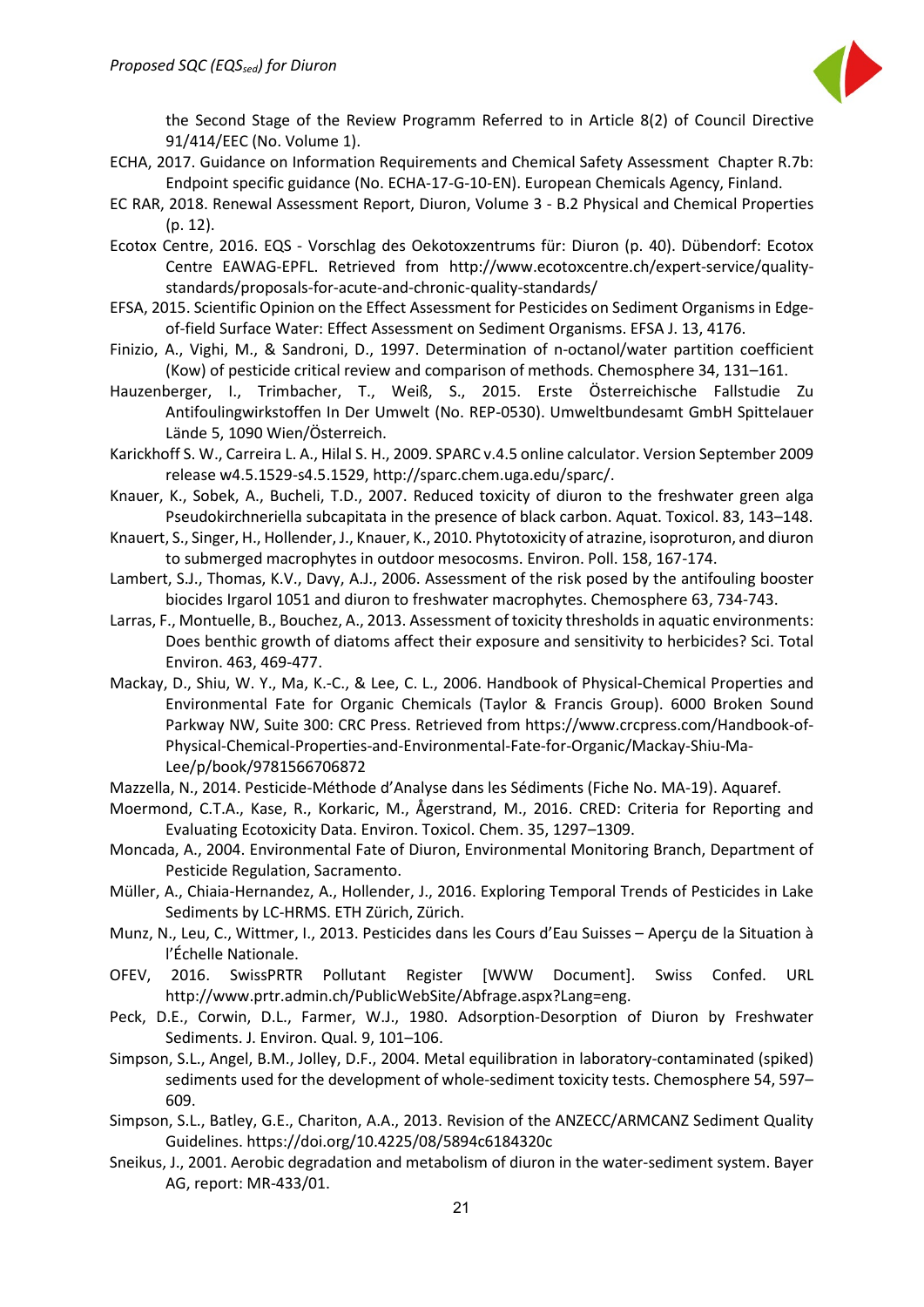

the Second Stage of the Review Programm Referred to in Article 8(2) of Council Directive 91/414/EEC (No. Volume 1).

- ECHA, 2017. Guidance on Information Requirements and Chemical Safety Assessment Chapter R.7b: Endpoint specific guidance (No. ECHA-17-G-10-EN). European Chemicals Agency, Finland.
- EC RAR, 2018. Renewal Assessment Report, Diuron, Volume 3 B.2 Physical and Chemical Properties (p. 12).
- Ecotox Centre, 2016. EQS Vorschlag des Oekotoxzentrums für: Diuron (p. 40). Dübendorf: Ecotox Centre EAWAG-EPFL. Retrieved from http://www.ecotoxcentre.ch/expert-service/qualitystandards/proposals-for-acute-and-chronic-quality-standards/
- EFSA, 2015. Scientific Opinion on the Effect Assessment for Pesticides on Sediment Organisms in Edgeof-field Surface Water: Effect Assessment on Sediment Organisms. EFSA J. 13, 4176.
- Finizio, A., Vighi, M., & Sandroni, D., 1997. Determination of n-octanol/water partition coefficient (Kow) of pesticide critical review and comparison of methods. Chemosphere 34, 131–161.
- Hauzenberger, I., Trimbacher, T., Weiß, S., 2015. Erste Österreichische Fallstudie Zu Antifoulingwirkstoffen In Der Umwelt (No. REP-0530). Umweltbundesamt GmbH Spittelauer Lände 5, 1090 Wien/Österreich.
- Karickhoff S. W., Carreira L. A., Hilal S. H., 2009. SPARC v.4.5 online calculator. Version September 2009 release w4.5.1529-s4.5.1529, http://sparc.chem.uga.edu/sparc/.
- Knauer, K., Sobek, A., Bucheli, T.D., 2007. Reduced toxicity of diuron to the freshwater green alga Pseudokirchneriella subcapitata in the presence of black carbon. Aquat. Toxicol. 83, 143–148.
- Knauert, S., Singer, H., Hollender, J., Knauer, K., 2010. Phytotoxicity of atrazine, isoproturon, and diuron to submerged macrophytes in outdoor mesocosms. Environ. Poll. 158, 167-174.
- Lambert, S.J., Thomas, K.V., Davy, A.J., 2006. Assessment of the risk posed by the antifouling booster biocides Irgarol 1051 and diuron to freshwater macrophytes. Chemosphere 63, 734-743.
- Larras, F., Montuelle, B., Bouchez, A., 2013. Assessment of toxicity thresholds in aquatic environments: Does benthic growth of diatoms affect their exposure and sensitivity to herbicides? Sci. Total Environ. 463, 469-477.
- Mackay, D., Shiu, W. Y., Ma, K.-C., & Lee, C. L., 2006. Handbook of Physical-Chemical Properties and Environmental Fate for Organic Chemicals (Taylor & Francis Group). 6000 Broken Sound Parkway NW, Suite 300: CRC Press. Retrieved from https://www.crcpress.com/Handbook-of-Physical-Chemical-Properties-and-Environmental-Fate-for-Organic/Mackay-Shiu-Ma-Lee/p/book/9781566706872
- Mazzella, N., 2014. Pesticide-Méthode d'Analyse dans les Sédiments (Fiche No. MA-19). Aquaref.
- Moermond, C.T.A., Kase, R., Korkaric, M., Ågerstrand, M., 2016. CRED: Criteria for Reporting and Evaluating Ecotoxicity Data. Environ. Toxicol. Chem. 35, 1297–1309.
- Moncada, A., 2004. Environmental Fate of Diuron, Environmental Monitoring Branch, Department of Pesticide Regulation, Sacramento.
- Müller, A., Chiaia-Hernandez, A., Hollender, J., 2016. Exploring Temporal Trends of Pesticides in Lake Sediments by LC-HRMS. ETH Zürich, Zürich.
- Munz, N., Leu, C., Wittmer, I., 2013. Pesticides dans les Cours d'Eau Suisses Aperçu de la Situation à l'Échelle Nationale.
- OFEV, 2016. SwissPRTR Pollutant Register [WWW Document]. Swiss Confed. URL http://www.prtr.admin.ch/PublicWebSite/Abfrage.aspx?Lang=eng.
- Peck, D.E., Corwin, D.L., Farmer, W.J., 1980. Adsorption-Desorption of Diuron by Freshwater Sediments. J. Environ. Qual. 9, 101–106.
- Simpson, S.L., Angel, B.M., Jolley, D.F., 2004. Metal equilibration in laboratory-contaminated (spiked) sediments used for the development of whole-sediment toxicity tests. Chemosphere 54, 597– 609.
- Simpson, S.L., Batley, G.E., Chariton, A.A., 2013. Revision of the ANZECC/ARMCANZ Sediment Quality Guidelines. https://doi.org/10.4225/08/5894c6184320c
- Sneikus, J., 2001. Aerobic degradation and metabolism of diuron in the water-sediment system. Bayer AG, report: MR-433/01.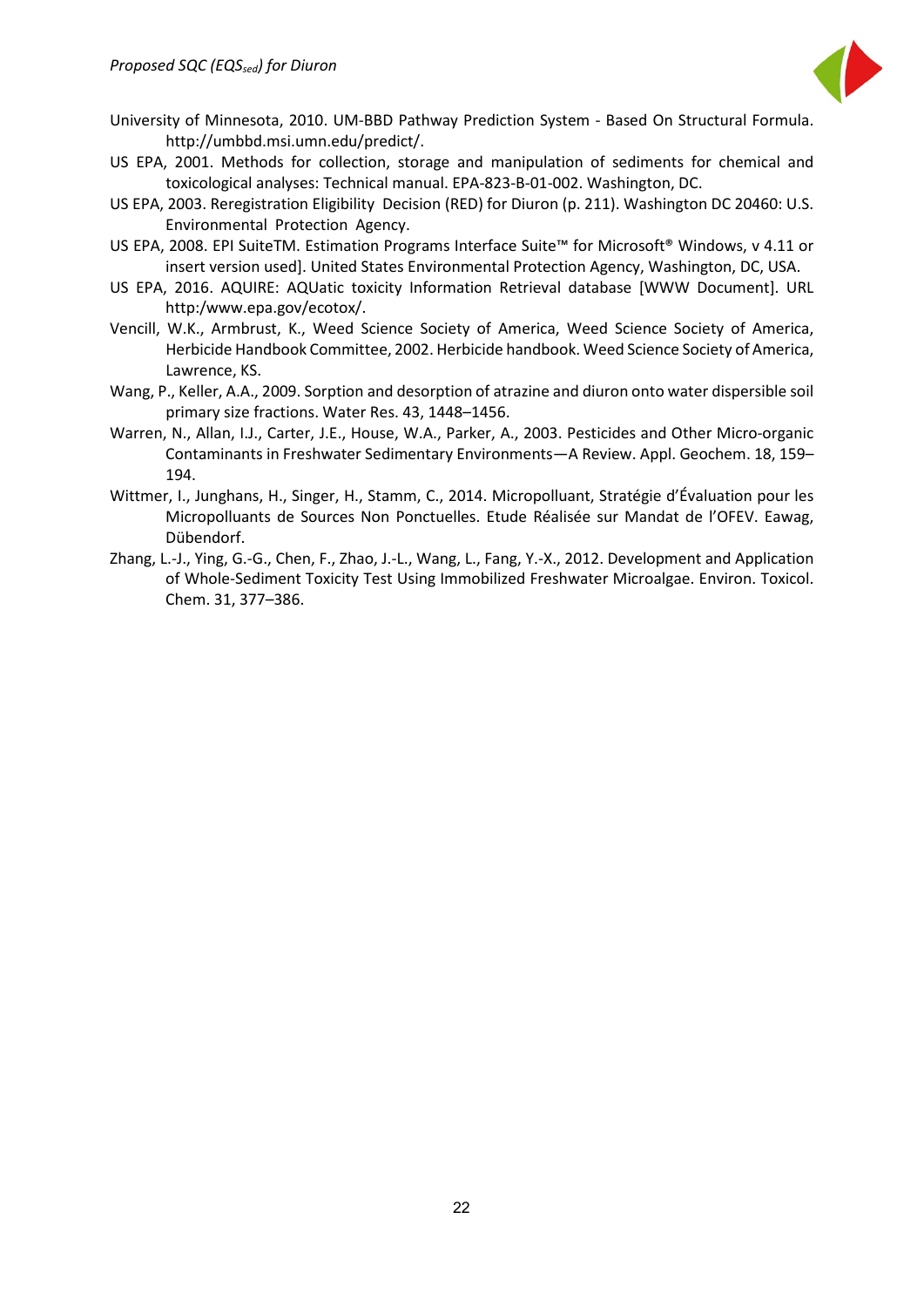

- University of Minnesota, 2010. UM-BBD Pathway Prediction System Based On Structural Formula. http://umbbd.msi.umn.edu/predict/.
- US EPA, 2001. Methods for collection, storage and manipulation of sediments for chemical and toxicological analyses: Technical manual. EPA-823-B-01-002. Washington, DC.
- US EPA, 2003. Reregistration Eligibility Decision (RED) for Diuron (p. 211). Washington DC 20460: U.S. Environmental Protection Agency.
- US EPA, 2008. EPI SuiteTM. Estimation Programs Interface Suite™ for Microsoft® Windows, v 4.11 or insert version used]. United States Environmental Protection Agency, Washington, DC, USA.
- US EPA, 2016. AQUIRE: AQUatic toxicity Information Retrieval database [WWW Document]. URL http:/www.epa.gov/ecotox/.
- Vencill, W.K., Armbrust, K., Weed Science Society of America, Weed Science Society of America, Herbicide Handbook Committee, 2002. Herbicide handbook. Weed Science Society of America, Lawrence, KS.
- Wang, P., Keller, A.A., 2009. Sorption and desorption of atrazine and diuron onto water dispersible soil primary size fractions. Water Res. 43, 1448–1456.
- Warren, N., Allan, I.J., Carter, J.E., House, W.A., Parker, A., 2003. Pesticides and Other Micro-organic Contaminants in Freshwater Sedimentary Environments—A Review. Appl. Geochem. 18, 159– 194.
- Wittmer, I., Junghans, H., Singer, H., Stamm, C., 2014. Micropolluant, Stratégie d'Évaluation pour les Micropolluants de Sources Non Ponctuelles. Etude Réalisée sur Mandat de l'OFEV. Eawag, Dübendorf.
- Zhang, L.-J., Ying, G.-G., Chen, F., Zhao, J.-L., Wang, L., Fang, Y.-X., 2012. Development and Application of Whole-Sediment Toxicity Test Using Immobilized Freshwater Microalgae. Environ. Toxicol. Chem. 31, 377–386.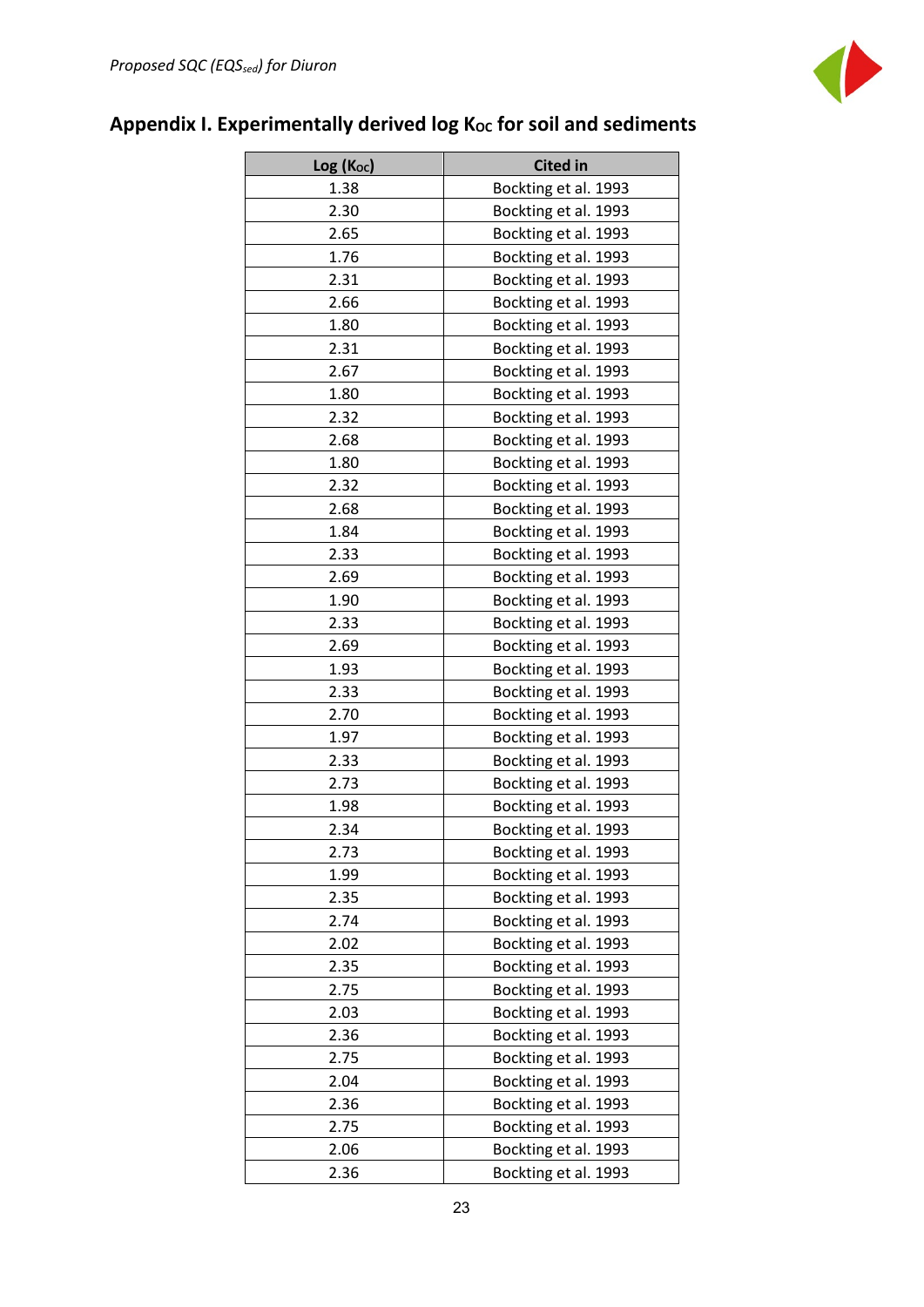

# <span id="page-23-0"></span>Appendix I. Experimentally derived log K<sub>oc</sub> for soil and sediments

| Log (Koc) | <b>Cited in</b>      |
|-----------|----------------------|
| 1.38      | Bockting et al. 1993 |
| 2.30      | Bockting et al. 1993 |
| 2.65      | Bockting et al. 1993 |
| 1.76      | Bockting et al. 1993 |
| 2.31      | Bockting et al. 1993 |
| 2.66      | Bockting et al. 1993 |
| 1.80      | Bockting et al. 1993 |
| 2.31      | Bockting et al. 1993 |
| 2.67      | Bockting et al. 1993 |
| 1.80      | Bockting et al. 1993 |
| 2.32      | Bockting et al. 1993 |
| 2.68      | Bockting et al. 1993 |
| 1.80      | Bockting et al. 1993 |
| 2.32      | Bockting et al. 1993 |
| 2.68      | Bockting et al. 1993 |
| 1.84      | Bockting et al. 1993 |
| 2.33      | Bockting et al. 1993 |
| 2.69      | Bockting et al. 1993 |
| 1.90      | Bockting et al. 1993 |
| 2.33      | Bockting et al. 1993 |
| 2.69      | Bockting et al. 1993 |
| 1.93      | Bockting et al. 1993 |
| 2.33      | Bockting et al. 1993 |
| 2.70      | Bockting et al. 1993 |
| 1.97      | Bockting et al. 1993 |
| 2.33      | Bockting et al. 1993 |
| 2.73      | Bockting et al. 1993 |
| 1.98      | Bockting et al. 1993 |
| 2.34      | Bockting et al. 1993 |
| 2.73      | Bockting et al. 1993 |
| 1.99      | Bockting et al. 1993 |
| 2.35      | Bockting et al. 1993 |
| 2.74      | Bockting et al. 1993 |
| 2.02      | Bockting et al. 1993 |
| 2.35      | Bockting et al. 1993 |
| 2.75      | Bockting et al. 1993 |
| 2.03      | Bockting et al. 1993 |
| 2.36      | Bockting et al. 1993 |
| 2.75      | Bockting et al. 1993 |
| 2.04      | Bockting et al. 1993 |
| 2.36      | Bockting et al. 1993 |
| 2.75      | Bockting et al. 1993 |
| 2.06      | Bockting et al. 1993 |
| 2.36      | Bockting et al. 1993 |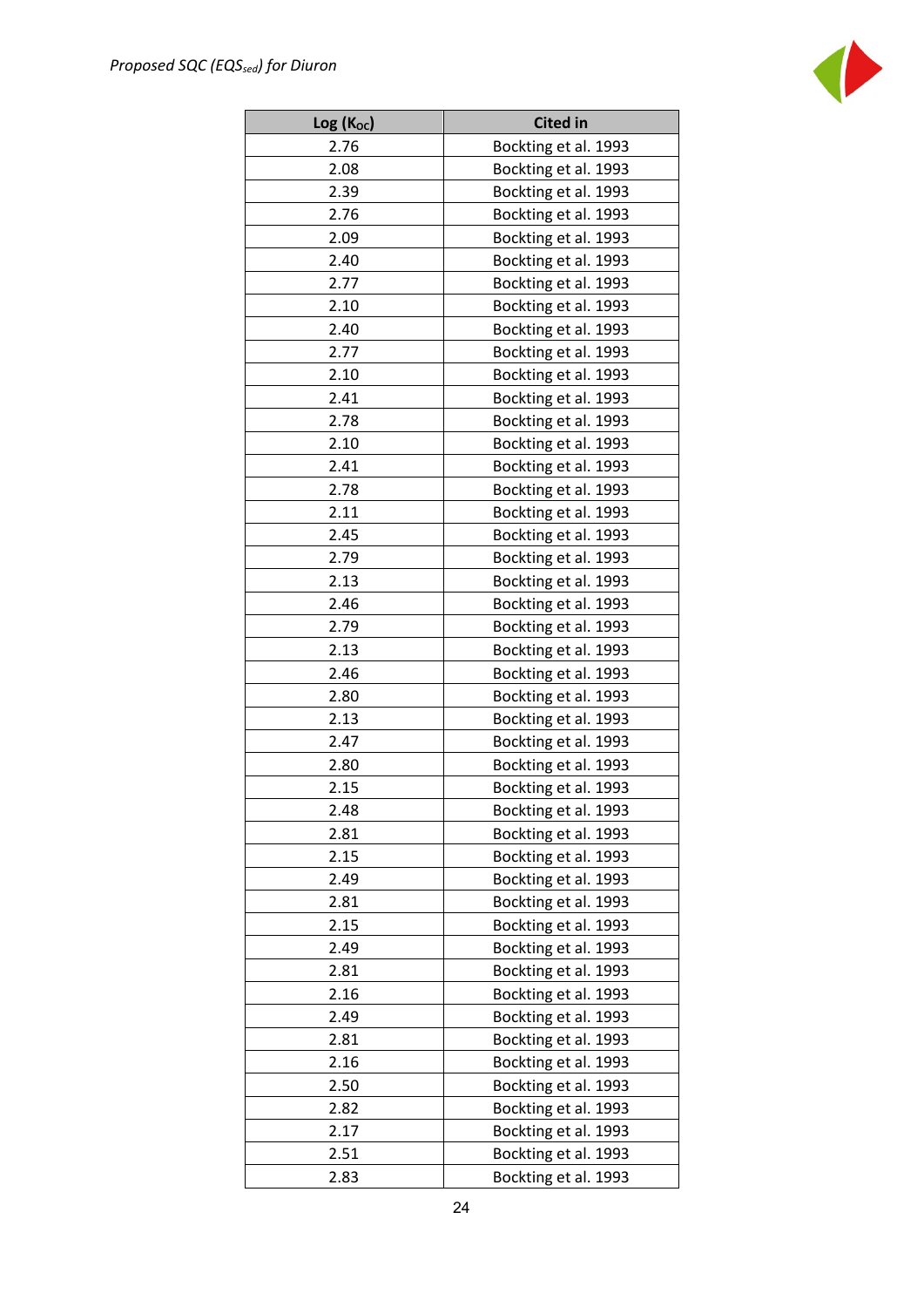

| $Log(K_{oc})$ | <b>Cited in</b>      |
|---------------|----------------------|
| 2.76          | Bockting et al. 1993 |
| 2.08          | Bockting et al. 1993 |
| 2.39          | Bockting et al. 1993 |
| 2.76          | Bockting et al. 1993 |
| 2.09          | Bockting et al. 1993 |
| 2.40          | Bockting et al. 1993 |
| 2.77          | Bockting et al. 1993 |
| 2.10          | Bockting et al. 1993 |
| 2.40          | Bockting et al. 1993 |
| 2.77          | Bockting et al. 1993 |
| 2.10          | Bockting et al. 1993 |
| 2.41          | Bockting et al. 1993 |
| 2.78          | Bockting et al. 1993 |
| 2.10          | Bockting et al. 1993 |
| 2.41          | Bockting et al. 1993 |
| 2.78          | Bockting et al. 1993 |
| 2.11          | Bockting et al. 1993 |
| 2.45          | Bockting et al. 1993 |
| 2.79          | Bockting et al. 1993 |
| 2.13          | Bockting et al. 1993 |
| 2.46          | Bockting et al. 1993 |
| 2.79          | Bockting et al. 1993 |
| 2.13          | Bockting et al. 1993 |
| 2.46          | Bockting et al. 1993 |
| 2.80          | Bockting et al. 1993 |
| 2.13          | Bockting et al. 1993 |
| 2.47          | Bockting et al. 1993 |
| 2.80          | Bockting et al. 1993 |
| 2.15          | Bockting et al. 1993 |
| 2.48          | Bockting et al. 1993 |
| 2.81          | Bockting et al. 1993 |
| 2.15          | Bockting et al. 1993 |
| 2.49          | Bockting et al. 1993 |
| 2.81          | Bockting et al. 1993 |
| 2.15          | Bockting et al. 1993 |
| 2.49          | Bockting et al. 1993 |
| 2.81          | Bockting et al. 1993 |
| 2.16          | Bockting et al. 1993 |
| 2.49          | Bockting et al. 1993 |
| 2.81          | Bockting et al. 1993 |
| 2.16          | Bockting et al. 1993 |
| 2.50          | Bockting et al. 1993 |
| 2.82          | Bockting et al. 1993 |
| 2.17          | Bockting et al. 1993 |
| 2.51          | Bockting et al. 1993 |
| 2.83          | Bockting et al. 1993 |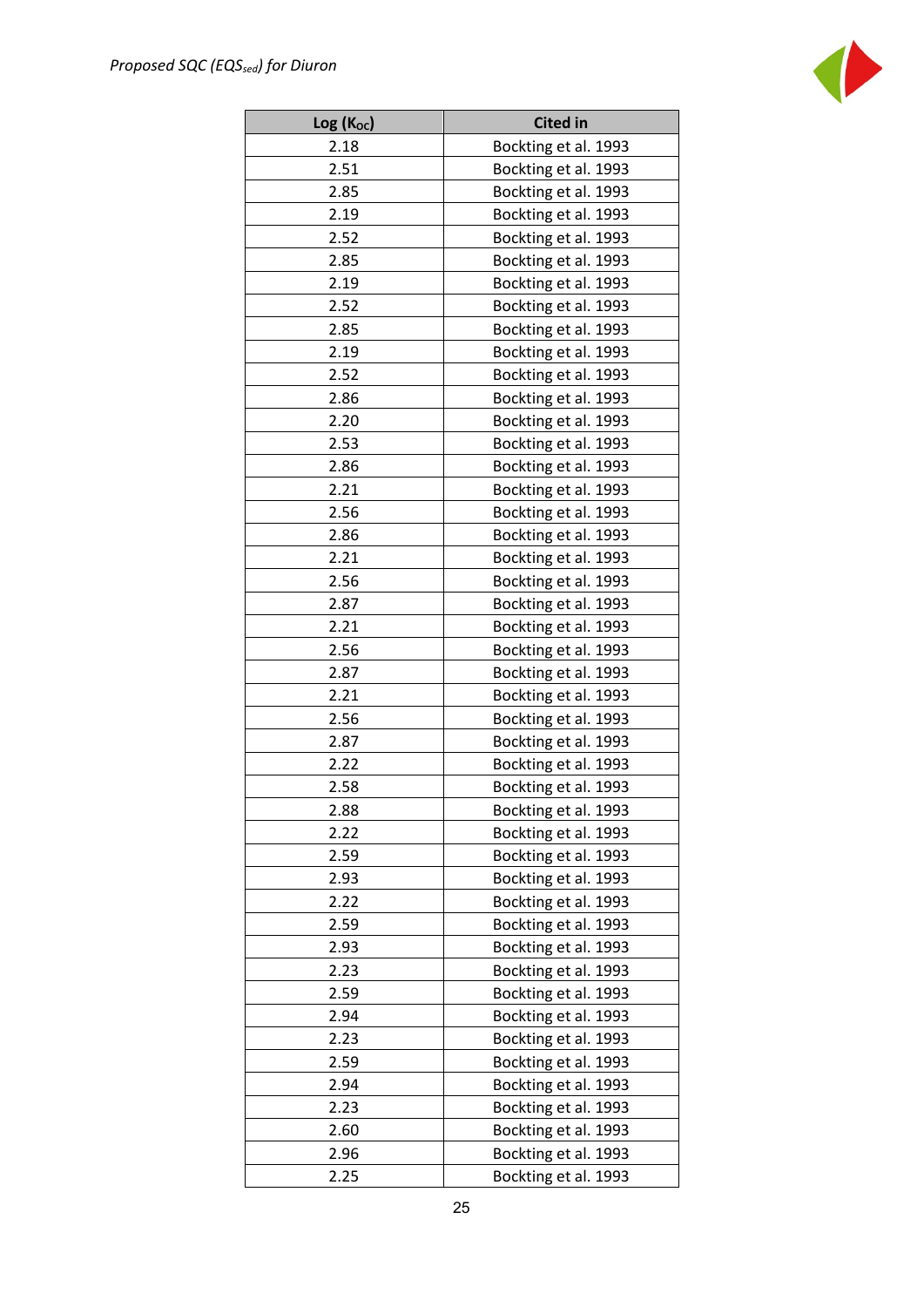

| Log (Koc) | <b>Cited in</b>      |
|-----------|----------------------|
| 2.18      | Bockting et al. 1993 |
| 2.51      | Bockting et al. 1993 |
| 2.85      | Bockting et al. 1993 |
| 2.19      | Bockting et al. 1993 |
| 2.52      | Bockting et al. 1993 |
| 2.85      | Bockting et al. 1993 |
| 2.19      | Bockting et al. 1993 |
| 2.52      | Bockting et al. 1993 |
| 2.85      | Bockting et al. 1993 |
| 2.19      | Bockting et al. 1993 |
| 2.52      | Bockting et al. 1993 |
| 2.86      | Bockting et al. 1993 |
| 2.20      | Bockting et al. 1993 |
| 2.53      | Bockting et al. 1993 |
| 2.86      | Bockting et al. 1993 |
| 2.21      | Bockting et al. 1993 |
| 2.56      | Bockting et al. 1993 |
| 2.86      | Bockting et al. 1993 |
| 2.21      | Bockting et al. 1993 |
| 2.56      | Bockting et al. 1993 |
| 2.87      | Bockting et al. 1993 |
| 2.21      | Bockting et al. 1993 |
| 2.56      | Bockting et al. 1993 |
| 2.87      | Bockting et al. 1993 |
| 2.21      | Bockting et al. 1993 |
| 2.56      | Bockting et al. 1993 |
| 2.87      | Bockting et al. 1993 |
| 2.22      | Bockting et al. 1993 |
| 2.58      | Bockting et al. 1993 |
| 2.88      | Bockting et al. 1993 |
| 2.22      | Bockting et al. 1993 |
| 2.59      | Bockting et al. 1993 |
| 2.93      | Bockting et al. 1993 |
| 2.22      | Bockting et al. 1993 |
| 2.59      | Bockting et al. 1993 |
| 2.93      | Bockting et al. 1993 |
| 2.23      | Bockting et al. 1993 |
| 2.59      | Bockting et al. 1993 |
| 2.94      | Bockting et al. 1993 |
| 2.23      | Bockting et al. 1993 |
| 2.59      | Bockting et al. 1993 |
| 2.94      | Bockting et al. 1993 |
| 2.23      | Bockting et al. 1993 |
| 2.60      | Bockting et al. 1993 |
| 2.96      | Bockting et al. 1993 |
| 2.25      | Bockting et al. 1993 |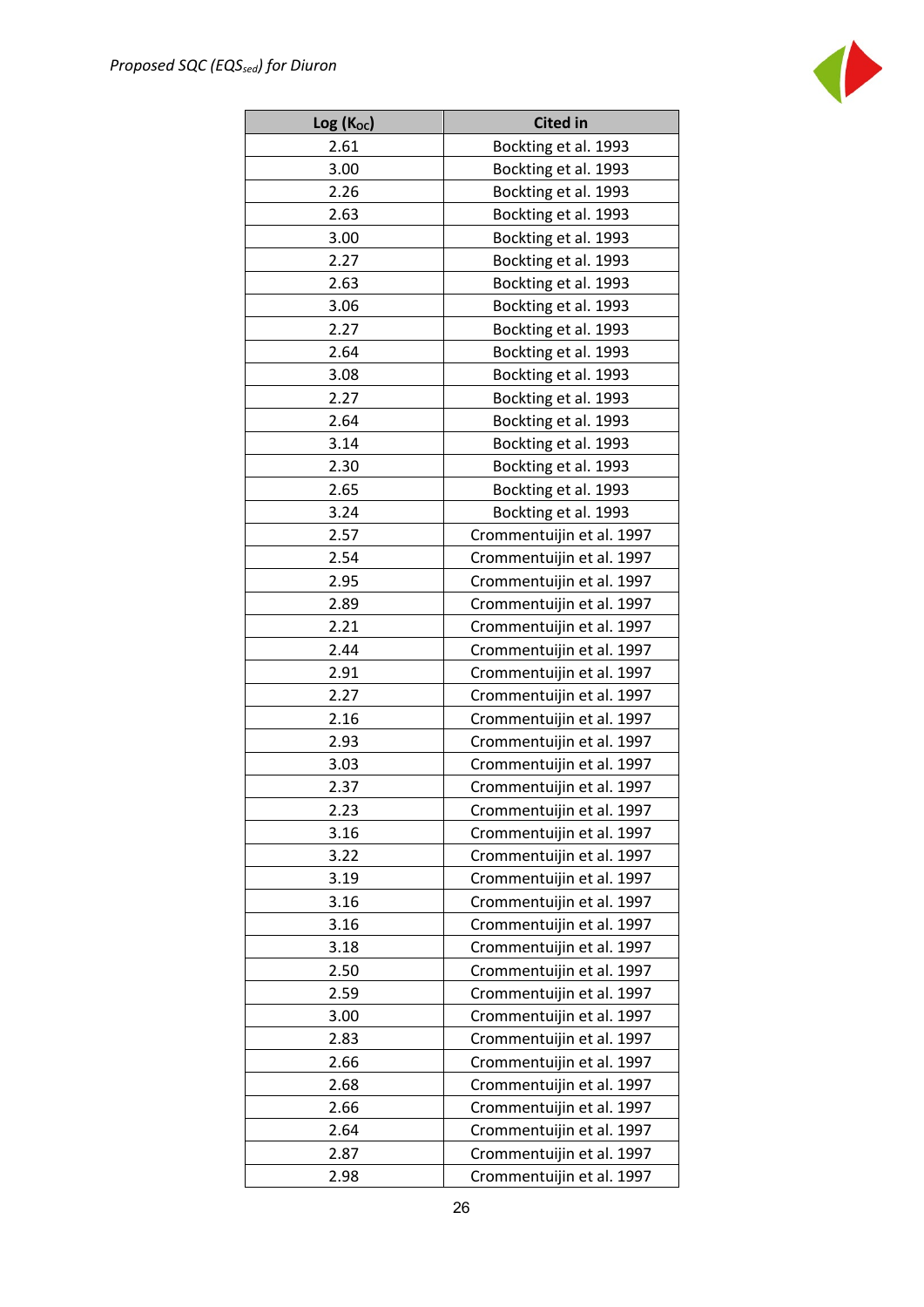

| Log (Koc) | <b>Cited in</b>           |
|-----------|---------------------------|
| 2.61      | Bockting et al. 1993      |
| 3.00      | Bockting et al. 1993      |
| 2.26      | Bockting et al. 1993      |
| 2.63      | Bockting et al. 1993      |
| 3.00      | Bockting et al. 1993      |
| 2.27      | Bockting et al. 1993      |
| 2.63      | Bockting et al. 1993      |
| 3.06      | Bockting et al. 1993      |
| 2.27      | Bockting et al. 1993      |
| 2.64      | Bockting et al. 1993      |
| 3.08      | Bockting et al. 1993      |
| 2.27      | Bockting et al. 1993      |
| 2.64      | Bockting et al. 1993      |
| 3.14      | Bockting et al. 1993      |
| 2.30      | Bockting et al. 1993      |
| 2.65      | Bockting et al. 1993      |
| 3.24      | Bockting et al. 1993      |
| 2.57      | Crommentuijin et al. 1997 |
| 2.54      | Crommentuijin et al. 1997 |
| 2.95      | Crommentuijin et al. 1997 |
| 2.89      | Crommentuijin et al. 1997 |
| 2.21      | Crommentuijin et al. 1997 |
| 2.44      | Crommentuijin et al. 1997 |
| 2.91      | Crommentuijin et al. 1997 |
| 2.27      | Crommentuijin et al. 1997 |
| 2.16      | Crommentuijin et al. 1997 |
| 2.93      | Crommentuijin et al. 1997 |
| 3.03      | Crommentuijin et al. 1997 |
| 2.37      | Crommentuijin et al. 1997 |
| 2.23      | Crommentuijin et al. 1997 |
| 3.16      | Crommentuijin et al. 1997 |
| 3.22      | Crommentuijin et al. 1997 |
| 3.19      | Crommentuijin et al. 1997 |
| 3.16      | Crommentuijin et al. 1997 |
| 3.16      | Crommentuijin et al. 1997 |
| 3.18      | Crommentuijin et al. 1997 |
| 2.50      | Crommentuijin et al. 1997 |
| 2.59      | Crommentuijin et al. 1997 |
| 3.00      | Crommentuijin et al. 1997 |
| 2.83      | Crommentuijin et al. 1997 |
| 2.66      | Crommentuijin et al. 1997 |
| 2.68      | Crommentuijin et al. 1997 |
| 2.66      | Crommentuijin et al. 1997 |
| 2.64      | Crommentuijin et al. 1997 |
| 2.87      | Crommentuijin et al. 1997 |
| 2.98      | Crommentuijin et al. 1997 |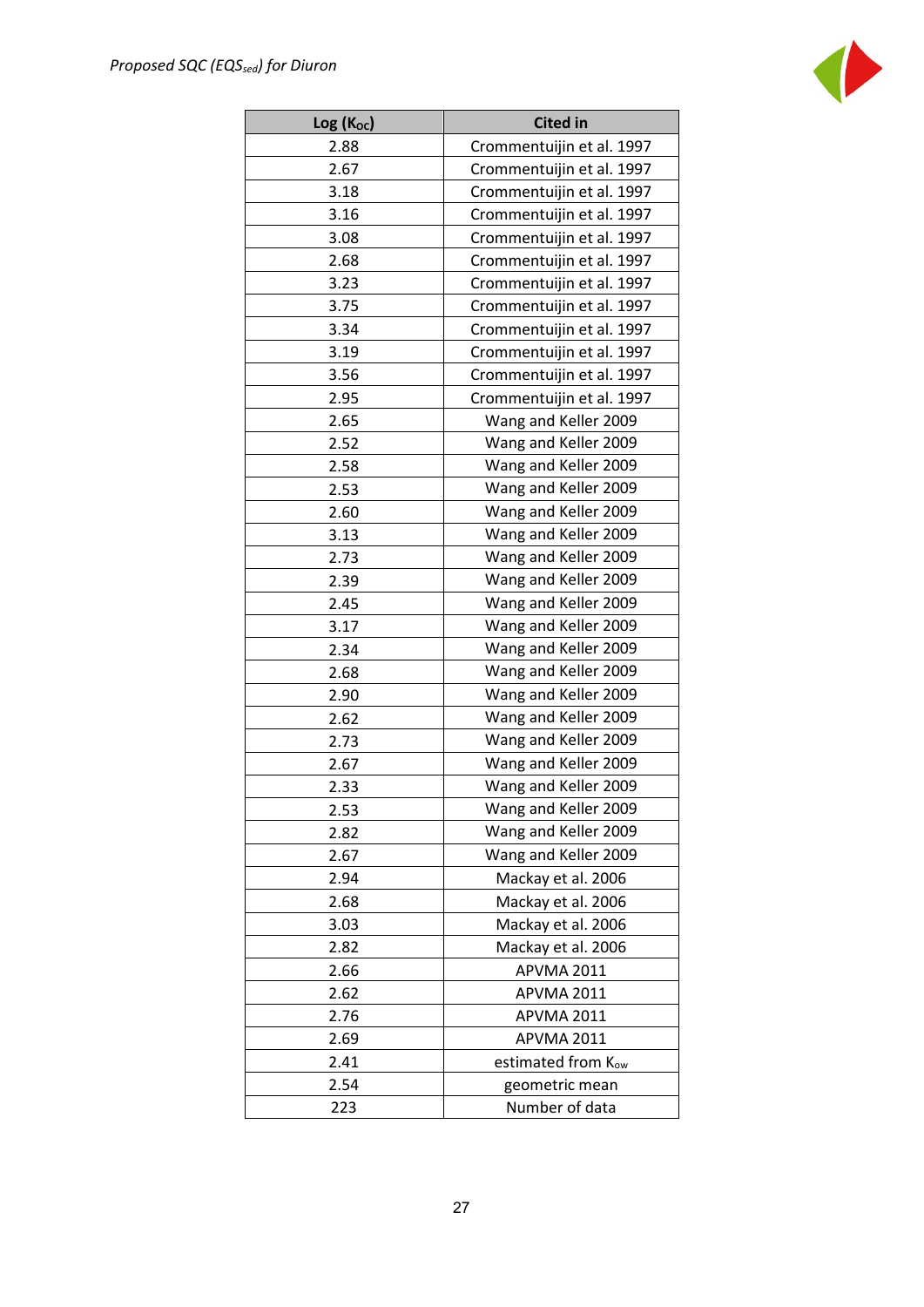

| $Log(K_{oc})$ | <b>Cited in</b>           |  |  |  |  |  |
|---------------|---------------------------|--|--|--|--|--|
| 2.88          | Crommentuijin et al. 1997 |  |  |  |  |  |
| 2.67          | Crommentuijin et al. 1997 |  |  |  |  |  |
| 3.18          | Crommentuijin et al. 1997 |  |  |  |  |  |
| 3.16          | Crommentuijin et al. 1997 |  |  |  |  |  |
| 3.08          | Crommentuijin et al. 1997 |  |  |  |  |  |
| 2.68          | Crommentuijin et al. 1997 |  |  |  |  |  |
| 3.23          | Crommentuijin et al. 1997 |  |  |  |  |  |
| 3.75          | Crommentuijin et al. 1997 |  |  |  |  |  |
| 3.34          | Crommentuijin et al. 1997 |  |  |  |  |  |
| 3.19          | Crommentuijin et al. 1997 |  |  |  |  |  |
| 3.56          | Crommentuijin et al. 1997 |  |  |  |  |  |
| 2.95          | Crommentuijin et al. 1997 |  |  |  |  |  |
| 2.65          | Wang and Keller 2009      |  |  |  |  |  |
| 2.52          | Wang and Keller 2009      |  |  |  |  |  |
| 2.58          | Wang and Keller 2009      |  |  |  |  |  |
| 2.53          | Wang and Keller 2009      |  |  |  |  |  |
| 2.60          | Wang and Keller 2009      |  |  |  |  |  |
| 3.13          | Wang and Keller 2009      |  |  |  |  |  |
| 2.73          | Wang and Keller 2009      |  |  |  |  |  |
| 2.39          | Wang and Keller 2009      |  |  |  |  |  |
| 2.45          | Wang and Keller 2009      |  |  |  |  |  |
| 3.17          | Wang and Keller 2009      |  |  |  |  |  |
| 2.34          | Wang and Keller 2009      |  |  |  |  |  |
| 2.68          | Wang and Keller 2009      |  |  |  |  |  |
| 2.90          | Wang and Keller 2009      |  |  |  |  |  |
| 2.62          | Wang and Keller 2009      |  |  |  |  |  |
| 2.73          | Wang and Keller 2009      |  |  |  |  |  |
| 2.67          | Wang and Keller 2009      |  |  |  |  |  |
| 2.33          | Wang and Keller 2009      |  |  |  |  |  |
| 2.53          | Wang and Keller 2009      |  |  |  |  |  |
| 2.82          | Wang and Keller 2009      |  |  |  |  |  |
| 2.67          | Wang and Keller 2009      |  |  |  |  |  |
| 2.94          | Mackay et al. 2006        |  |  |  |  |  |
| 2.68          | Mackay et al. 2006        |  |  |  |  |  |
| 3.03          | Mackay et al. 2006        |  |  |  |  |  |
| 2.82          | Mackay et al. 2006        |  |  |  |  |  |
| 2.66          | APVMA 2011                |  |  |  |  |  |
| 2.62          | <b>APVMA 2011</b>         |  |  |  |  |  |
| 2.76          | <b>APVMA 2011</b>         |  |  |  |  |  |
| 2.69          | APVMA 2011                |  |  |  |  |  |
| 2.41          | estimated from Kow        |  |  |  |  |  |
| 2.54          | geometric mean            |  |  |  |  |  |
| 223           | Number of data            |  |  |  |  |  |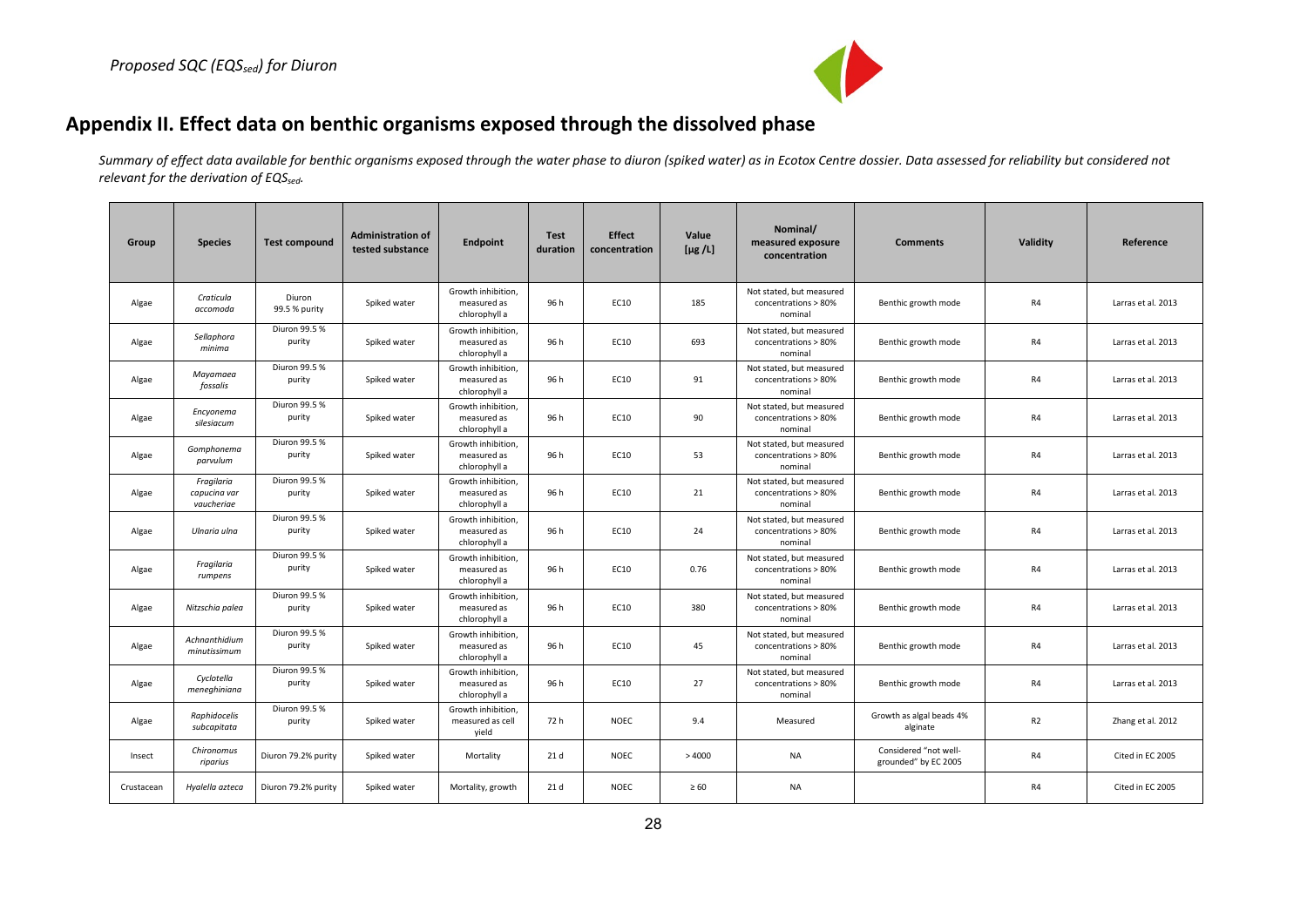

# **Appendix II. Effect data on benthic organisms exposed through the dissolved phase**

*Summary of effect data available for benthic organisms exposed through the water phase to diuron (spiked water) as in Ecotox Centre dossier. Data assessed for reliability but considered not relevant for the derivation of EQSsed.*

<span id="page-28-0"></span>

| Group      | <b>Species</b>                           | <b>Test compound</b>    | <b>Administration of</b><br>tested substance | Endpoint                                           | <b>Test</b><br>duration | <b>Effect</b><br>concentration | Value<br>[ $\mu$ g /L] | Nominal/<br>measured exposure<br>concentration              | <b>Comments</b>                               | Validity | Reference          |
|------------|------------------------------------------|-------------------------|----------------------------------------------|----------------------------------------------------|-------------------------|--------------------------------|------------------------|-------------------------------------------------------------|-----------------------------------------------|----------|--------------------|
| Algae      | Craticula<br>accomoda                    | Diuron<br>99.5 % purity | Spiked water                                 | Growth inhibition,<br>measured as<br>chlorophyll a | 96 h                    | EC10                           | 185                    | Not stated, but measured<br>concentrations > 80%<br>nominal | Benthic growth mode                           | R4       | Larras et al. 2013 |
| Algae      | Sellaphora<br>minima                     | Diuron 99.5 %<br>purity | Spiked water                                 | Growth inhibition,<br>measured as<br>chlorophyll a | 96 h                    | EC10                           | 693                    | Not stated, but measured<br>concentrations > 80%<br>nominal | Benthic growth mode                           | R4       | Larras et al. 2013 |
| Algae      | Mayamaea<br>fossalis                     | Diuron 99.5 %<br>purity | Spiked water                                 | Growth inhibition,<br>measured as<br>chlorophyll a | 96 h                    | EC10                           | 91                     | Not stated, but measured<br>concentrations > 80%<br>nominal | Benthic growth mode                           | R4       | Larras et al. 2013 |
| Algae      | Encyonema<br>silesiacum                  | Diuron 99.5 %<br>purity | Spiked water                                 | Growth inhibition,<br>measured as<br>chlorophyll a | 96 h                    | EC10                           | 90                     | Not stated, but measured<br>concentrations > 80%<br>nominal | Benthic growth mode                           | R4       | Larras et al. 2013 |
| Algae      | Gomphonema<br>parvulum                   | Diuron 99.5 %<br>purity | Spiked water                                 | Growth inhibition.<br>measured as<br>chlorophyll a | 96 h                    | EC10                           | 53                     | Not stated, but measured<br>concentrations > 80%<br>nominal | Benthic growth mode                           | R4       | Larras et al. 2013 |
| Algae      | Fragilaria<br>capucina var<br>vaucheriae | Diuron 99.5 %<br>purity | Spiked water                                 | Growth inhibition,<br>measured as<br>chlorophyll a | 96 h                    | EC10                           | 21                     | Not stated, but measured<br>concentrations > 80%<br>nominal | Benthic growth mode                           | R4       | Larras et al. 2013 |
| Algae      | Ulnaria ulna                             | Diuron 99.5 %<br>purity | Spiked water                                 | Growth inhibition,<br>measured as<br>chlorophyll a | 96 h                    | EC10                           | 24                     | Not stated, but measured<br>concentrations > 80%<br>nominal | Benthic growth mode                           | R4       | Larras et al. 2013 |
| Algae      | Fragilaria<br>rumpens                    | Diuron 99.5 %<br>purity | Spiked water                                 | Growth inhibition.<br>measured as<br>chlorophyll a | 96 h                    | EC10                           | 0.76                   | Not stated, but measured<br>concentrations > 80%<br>nominal | Benthic growth mode                           | R4       | Larras et al. 2013 |
| Algae      | Nitzschia palea                          | Diuron 99.5 %<br>purity | Spiked water                                 | Growth inhibition,<br>measured as<br>chlorophyll a | 96 h                    | EC10                           | 380                    | Not stated, but measured<br>concentrations > 80%<br>nominal | Benthic growth mode                           | R4       | Larras et al. 2013 |
| Algae      | Achnanthidium<br>minutissimum            | Diuron 99.5 %<br>purity | Spiked water                                 | Growth inhibition,<br>measured as<br>chlorophyll a | 96 h                    | EC10                           | 45                     | Not stated, but measured<br>concentrations > 80%<br>nominal | Benthic growth mode                           | R4       | Larras et al. 2013 |
| Algae      | Cyclotella<br>meneghiniana               | Diuron 99.5 %<br>purity | Spiked water                                 | Growth inhibition,<br>measured as<br>chlorophyll a | 96 h                    | EC10                           | 27                     | Not stated, but measured<br>concentrations > 80%<br>nominal | Benthic growth mode                           | R4       | Larras et al. 2013 |
| Algae      | Raphidocelis<br>subcapitata              | Diuron 99.5 %<br>purity | Spiked water                                 | Growth inhibition.<br>measured as cell<br>yield    | 72 h                    | <b>NOEC</b>                    | 9.4                    | Measured                                                    | Growth as algal beads 4%<br>alginate          | R2       | Zhang et al. 2012  |
| Insect     | Chironomus<br>riparius                   | Diuron 79.2% purity     | Spiked water                                 | Mortality                                          | 21 d                    | <b>NOEC</b>                    | >4000                  | <b>NA</b>                                                   | Considered "not well-<br>grounded" by EC 2005 | R4       | Cited in EC 2005   |
| Crustacean | Hyalella azteca                          | Diuron 79.2% purity     | Spiked water                                 | Mortality, growth                                  | 21 d                    | <b>NOEC</b>                    | $\geq 60$              | <b>NA</b>                                                   |                                               | R4       | Cited in EC 2005   |